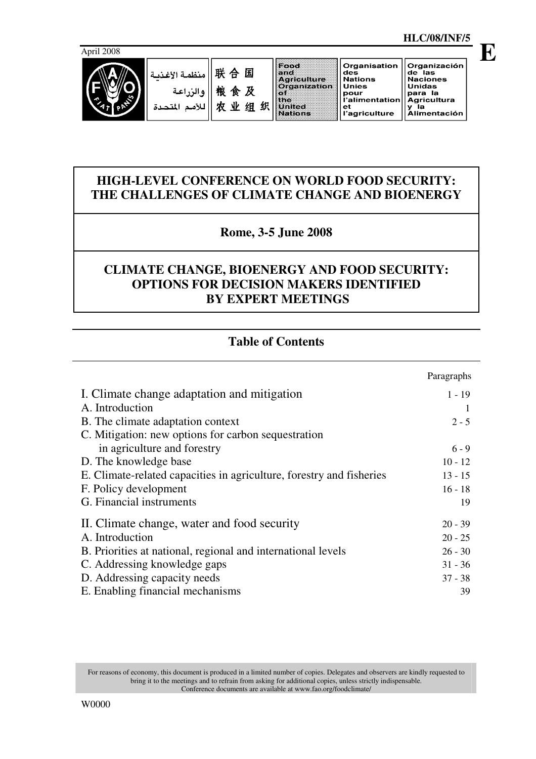

#### Food Organisation Organización 联合国 and<br>Agriculture<br>Organization de las<br>Naciones<br>Unidas des<br>Nations منظمة الأغذد Unies 粮食及 والزراعة of<br>the<br>United<br>Nations once<br>pour<br>l'alimentation para la<br>Agricultura<br>y la 农业组织 Agricultura<br>y la<br>Alimentación للأمم المتحدة  $et$ ะ.<br>I'agriculture

# **HIGH-LEVEL CONFERENCE ON WORLD FOOD SECURITY: THE CHALLENGES OF CLIMATE CHANGE AND BIOENERGY**

# **Rome, 3-5 June 2008**

# **CLIMATE CHANGE, BIOENERGY AND FOOD SECURITY: OPTIONS FOR DECISION MAKERS IDENTIFIED BY EXPERT MEETINGS**

# **Table of Contents**

|                                                                      | Paragraphs |
|----------------------------------------------------------------------|------------|
| I. Climate change adaptation and mitigation                          | $1 - 19$   |
| A. Introduction                                                      |            |
| B. The climate adaptation context                                    | $2 - 5$    |
| C. Mitigation: new options for carbon sequestration                  |            |
| in agriculture and forestry                                          | $6 - 9$    |
| D. The knowledge base                                                | $10 - 12$  |
| E. Climate-related capacities in agriculture, forestry and fisheries | $13 - 15$  |
| F. Policy development                                                | $16 - 18$  |
| G. Financial instruments                                             | 19         |
| II. Climate change, water and food security                          | $20 - 39$  |
| A. Introduction                                                      | $20 - 25$  |
| B. Priorities at national, regional and international levels         | $26 - 30$  |
| C. Addressing knowledge gaps                                         | $31 - 36$  |
| D. Addressing capacity needs                                         | $37 - 38$  |
| E. Enabling financial mechanisms                                     | 39         |

For reasons of economy, this document is produced in a limited number of copies. Delegates and observers are kindly requested to bring it to the meetings and to refrain from asking for additional copies, unless strictly indispensable. Conference documents are available at www.fao.org/foodclimate/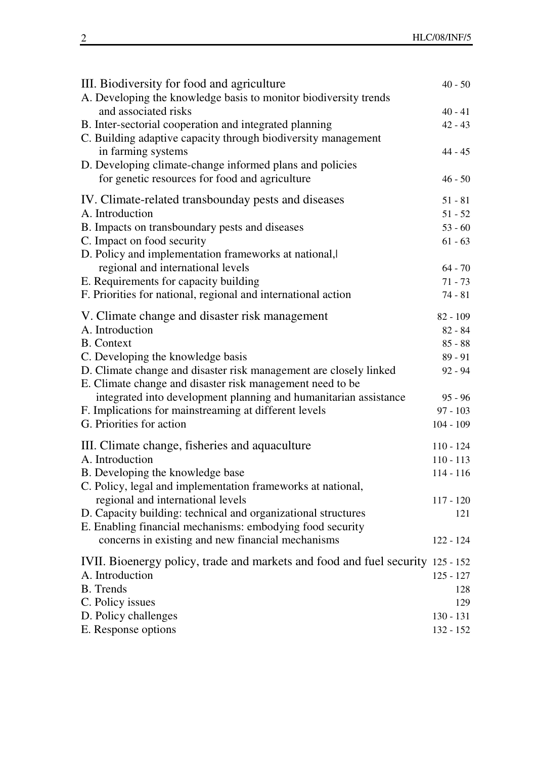| III. Biodiversity for food and agriculture<br>A. Developing the knowledge basis to monitor biodiversity trends                 | $40 - 50$   |
|--------------------------------------------------------------------------------------------------------------------------------|-------------|
| and associated risks                                                                                                           | $40 - 41$   |
| B. Inter-sectorial cooperation and integrated planning                                                                         | $42 - 43$   |
| C. Building adaptive capacity through biodiversity management                                                                  |             |
| in farming systems                                                                                                             | $44 - 45$   |
| D. Developing climate-change informed plans and policies                                                                       |             |
| for genetic resources for food and agriculture                                                                                 | $46 - 50$   |
| IV. Climate-related transbounday pests and diseases                                                                            | $51 - 81$   |
| A. Introduction                                                                                                                | $51 - 52$   |
| B. Impacts on transboundary pests and diseases                                                                                 | $53 - 60$   |
| C. Impact on food security                                                                                                     | $61 - 63$   |
| D. Policy and implementation frameworks at national,                                                                           |             |
| regional and international levels                                                                                              | $64 - 70$   |
| E. Requirements for capacity building                                                                                          | $71 - 73$   |
| F. Priorities for national, regional and international action                                                                  | $74 - 81$   |
| V. Climate change and disaster risk management                                                                                 | 82 - 109    |
| A. Introduction                                                                                                                | $82 - 84$   |
| <b>B.</b> Context                                                                                                              | $85 - 88$   |
| C. Developing the knowledge basis                                                                                              | $89 - 91$   |
| D. Climate change and disaster risk management are closely linked<br>E. Climate change and disaster risk management need to be | $92 - 94$   |
| integrated into development planning and humanitarian assistance                                                               | $95 - 96$   |
| F. Implications for mainstreaming at different levels                                                                          | $97 - 103$  |
| G. Priorities for action                                                                                                       | $104 - 109$ |
| III. Climate change, fisheries and aquaculture                                                                                 | $110 - 124$ |
| A. Introduction                                                                                                                | $110 - 113$ |
| B. Developing the knowledge base                                                                                               | $114 - 116$ |
| C. Policy, legal and implementation frameworks at national,                                                                    |             |
| regional and international levels                                                                                              | $117 - 120$ |
| D. Capacity building: technical and organizational structures                                                                  | 121         |
| E. Enabling financial mechanisms: embodying food security                                                                      |             |
| concerns in existing and new financial mechanisms                                                                              | 122 - 124   |
| IVII. Bioenergy policy, trade and markets and food and fuel security 125 - 152                                                 |             |
| A. Introduction                                                                                                                | $125 - 127$ |
| <b>B.</b> Trends                                                                                                               | 128         |
| C. Policy issues                                                                                                               | 129         |
| D. Policy challenges                                                                                                           | $130 - 131$ |
| E. Response options                                                                                                            | 132 - 152   |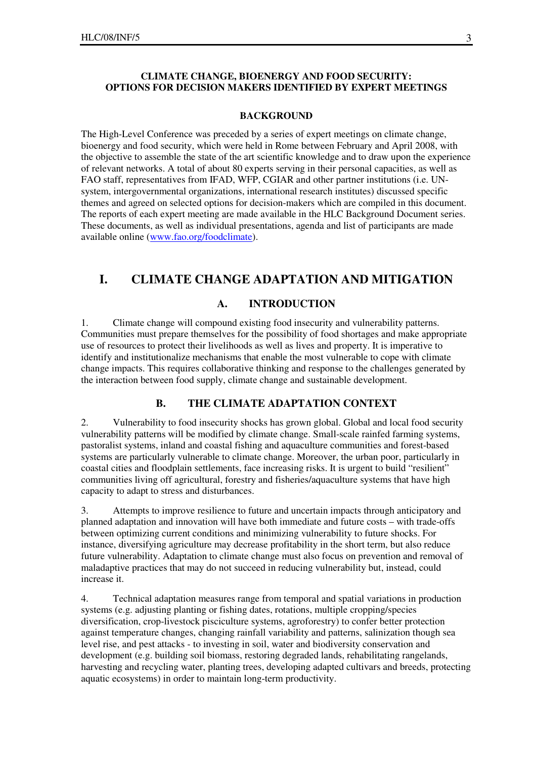#### **CLIMATE CHANGE, BIOENERGY AND FOOD SECURITY: OPTIONS FOR DECISION MAKERS IDENTIFIED BY EXPERT MEETINGS**

#### **BACKGROUND**

The High-Level Conference was preceded by a series of expert meetings on climate change, bioenergy and food security, which were held in Rome between February and April 2008, with the objective to assemble the state of the art scientific knowledge and to draw upon the experience of relevant networks. A total of about 80 experts serving in their personal capacities, as well as FAO staff, representatives from IFAD, WFP, CGIAR and other partner institutions (i.e. UNsystem, intergovernmental organizations, international research institutes) discussed specific themes and agreed on selected options for decision-makers which are compiled in this document. The reports of each expert meeting are made available in the HLC Background Document series. These documents, as well as individual presentations, agenda and list of participants are made available online (www.fao.org/foodclimate).

### **I. CLIMATE CHANGE ADAPTATION AND MITIGATION**

#### **A. INTRODUCTION**

1. Climate change will compound existing food insecurity and vulnerability patterns. Communities must prepare themselves for the possibility of food shortages and make appropriate use of resources to protect their livelihoods as well as lives and property. It is imperative to identify and institutionalize mechanisms that enable the most vulnerable to cope with climate change impacts. This requires collaborative thinking and response to the challenges generated by the interaction between food supply, climate change and sustainable development.

### **B. THE CLIMATE ADAPTATION CONTEXT**

2. Vulnerability to food insecurity shocks has grown global. Global and local food security vulnerability patterns will be modified by climate change. Small-scale rainfed farming systems, pastoralist systems, inland and coastal fishing and aquaculture communities and forest-based systems are particularly vulnerable to climate change. Moreover, the urban poor, particularly in coastal cities and floodplain settlements, face increasing risks. It is urgent to build "resilient" communities living off agricultural, forestry and fisheries/aquaculture systems that have high capacity to adapt to stress and disturbances.

3. Attempts to improve resilience to future and uncertain impacts through anticipatory and planned adaptation and innovation will have both immediate and future costs – with trade-offs between optimizing current conditions and minimizing vulnerability to future shocks. For instance, diversifying agriculture may decrease profitability in the short term, but also reduce future vulnerability. Adaptation to climate change must also focus on prevention and removal of maladaptive practices that may do not succeed in reducing vulnerability but, instead, could increase it.

4. Technical adaptation measures range from temporal and spatial variations in production systems (e.g. adjusting planting or fishing dates, rotations, multiple cropping/species diversification, crop-livestock pisciculture systems, agroforestry) to confer better protection against temperature changes, changing rainfall variability and patterns, salinization though sea level rise, and pest attacks - to investing in soil, water and biodiversity conservation and development (e.g. building soil biomass, restoring degraded lands, rehabilitating rangelands, harvesting and recycling water, planting trees, developing adapted cultivars and breeds, protecting aquatic ecosystems) in order to maintain long-term productivity.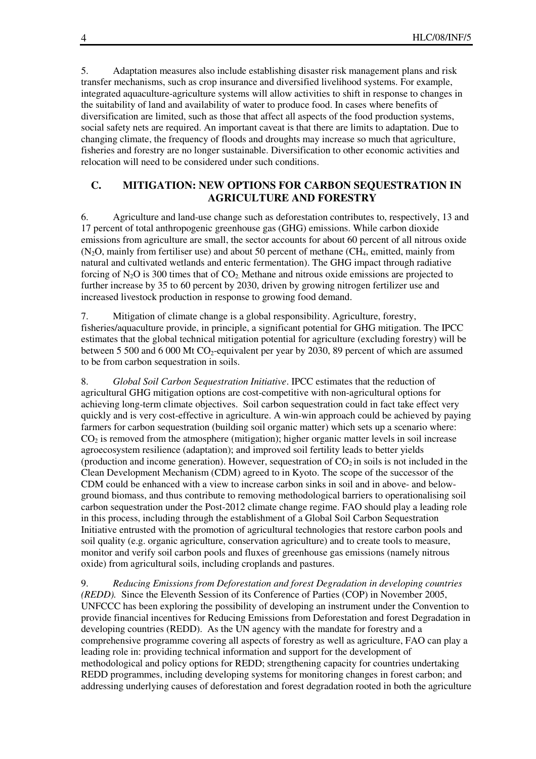5. Adaptation measures also include establishing disaster risk management plans and risk transfer mechanisms, such as crop insurance and diversified livelihood systems. For example, integrated aquaculture-agriculture systems will allow activities to shift in response to changes in the suitability of land and availability of water to produce food. In cases where benefits of diversification are limited, such as those that affect all aspects of the food production systems, social safety nets are required. An important caveat is that there are limits to adaptation. Due to changing climate, the frequency of floods and droughts may increase so much that agriculture, fisheries and forestry are no longer sustainable. Diversification to other economic activities and relocation will need to be considered under such conditions.

#### **C. MITIGATION: NEW OPTIONS FOR CARBON SEQUESTRATION IN AGRICULTURE AND FORESTRY**

6. Agriculture and land-use change such as deforestation contributes to, respectively, 13 and 17 percent of total anthropogenic greenhouse gas (GHG) emissions. While carbon dioxide emissions from agriculture are small, the sector accounts for about 60 percent of all nitrous oxide  $(N_2O,$  mainly from fertiliser use) and about 50 percent of methane  $(CH_4,$  emitted, mainly from natural and cultivated wetlands and enteric fermentation). The GHG impact through radiative forcing of  $N_2O$  is 300 times that of  $CO_2$ . Methane and nitrous oxide emissions are projected to further increase by 35 to 60 percent by 2030, driven by growing nitrogen fertilizer use and increased livestock production in response to growing food demand.

7. Mitigation of climate change is a global responsibility. Agriculture, forestry, fisheries/aquaculture provide, in principle, a significant potential for GHG mitigation. The IPCC estimates that the global technical mitigation potential for agriculture (excluding forestry) will be between 5 500 and 6 000 Mt  $CO_2$ -equivalent per year by 2030, 89 percent of which are assumed to be from carbon sequestration in soils.

8. *Global Soil Carbon Sequestration Initiative*. IPCC estimates that the reduction of agricultural GHG mitigation options are cost-competitive with non-agricultural options for achieving long-term climate objectives. Soil carbon sequestration could in fact take effect very quickly and is very cost-effective in agriculture. A win-win approach could be achieved by paying farmers for carbon sequestration (building soil organic matter) which sets up a scenario where:  $CO<sub>2</sub>$  is removed from the atmosphere (mitigation); higher organic matter levels in soil increase agroecosystem resilience (adaptation); and improved soil fertility leads to better yields (production and income generation). However, sequestration of  $CO<sub>2</sub>$  in soils is not included in the Clean Development Mechanism (CDM) agreed to in Kyoto. The scope of the successor of the CDM could be enhanced with a view to increase carbon sinks in soil and in above- and belowground biomass, and thus contribute to removing methodological barriers to operationalising soil carbon sequestration under the Post-2012 climate change regime. FAO should play a leading role in this process, including through the establishment of a Global Soil Carbon Sequestration Initiative entrusted with the promotion of agricultural technologies that restore carbon pools and soil quality (e.g. organic agriculture, conservation agriculture) and to create tools to measure, monitor and verify soil carbon pools and fluxes of greenhouse gas emissions (namely nitrous oxide) from agricultural soils, including croplands and pastures.

9. *Reducing Emissions from Deforestation and forest Degradation in developing countries (REDD).* Since the Eleventh Session of its Conference of Parties (COP) in November 2005, UNFCCC has been exploring the possibility of developing an instrument under the Convention to provide financial incentives for Reducing Emissions from Deforestation and forest Degradation in developing countries (REDD). As the UN agency with the mandate for forestry and a comprehensive programme covering all aspects of forestry as well as agriculture, FAO can play a leading role in: providing technical information and support for the development of methodological and policy options for REDD; strengthening capacity for countries undertaking REDD programmes, including developing systems for monitoring changes in forest carbon; and addressing underlying causes of deforestation and forest degradation rooted in both the agriculture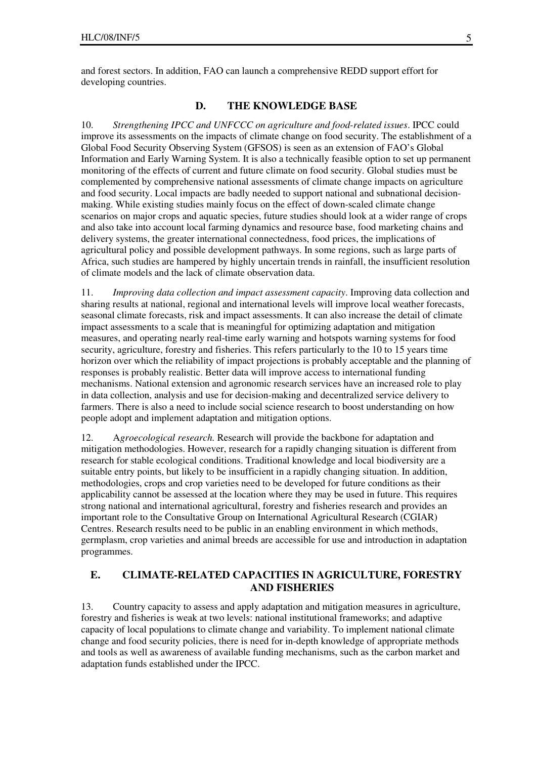and forest sectors. In addition, FAO can launch a comprehensive REDD support effort for developing countries.

#### **D. THE KNOWLEDGE BASE**

10. *Strengthening IPCC and UNFCCC on agriculture and food-related issues*. IPCC could improve its assessments on the impacts of climate change on food security. The establishment of a Global Food Security Observing System (GFSOS) is seen as an extension of FAO's Global Information and Early Warning System. It is also a technically feasible option to set up permanent monitoring of the effects of current and future climate on food security. Global studies must be complemented by comprehensive national assessments of climate change impacts on agriculture and food security. Local impacts are badly needed to support national and subnational decisionmaking. While existing studies mainly focus on the effect of down-scaled climate change scenarios on major crops and aquatic species, future studies should look at a wider range of crops and also take into account local farming dynamics and resource base, food marketing chains and delivery systems, the greater international connectedness, food prices, the implications of agricultural policy and possible development pathways. In some regions, such as large parts of Africa, such studies are hampered by highly uncertain trends in rainfall, the insufficient resolution of climate models and the lack of climate observation data.

11. *Improving data collection and impact assessment capacity*. Improving data collection and sharing results at national, regional and international levels will improve local weather forecasts, seasonal climate forecasts, risk and impact assessments. It can also increase the detail of climate impact assessments to a scale that is meaningful for optimizing adaptation and mitigation measures, and operating nearly real-time early warning and hotspots warning systems for food security, agriculture, forestry and fisheries. This refers particularly to the 10 to 15 years time horizon over which the reliability of impact projections is probably acceptable and the planning of responses is probably realistic. Better data will improve access to international funding mechanisms. National extension and agronomic research services have an increased role to play in data collection, analysis and use for decision-making and decentralized service delivery to farmers. There is also a need to include social science research to boost understanding on how people adopt and implement adaptation and mitigation options.

12. A*groecological research.* Research will provide the backbone for adaptation and mitigation methodologies. However, research for a rapidly changing situation is different from research for stable ecological conditions. Traditional knowledge and local biodiversity are a suitable entry points, but likely to be insufficient in a rapidly changing situation. In addition, methodologies, crops and crop varieties need to be developed for future conditions as their applicability cannot be assessed at the location where they may be used in future. This requires strong national and international agricultural, forestry and fisheries research and provides an important role to the Consultative Group on International Agricultural Research (CGIAR) Centres. Research results need to be public in an enabling environment in which methods, germplasm, crop varieties and animal breeds are accessible for use and introduction in adaptation programmes.

#### **E. CLIMATE-RELATED CAPACITIES IN AGRICULTURE, FORESTRY AND FISHERIES**

13. Country capacity to assess and apply adaptation and mitigation measures in agriculture, forestry and fisheries is weak at two levels: national institutional frameworks; and adaptive capacity of local populations to climate change and variability. To implement national climate change and food security policies, there is need for in-depth knowledge of appropriate methods and tools as well as awareness of available funding mechanisms, such as the carbon market and adaptation funds established under the IPCC.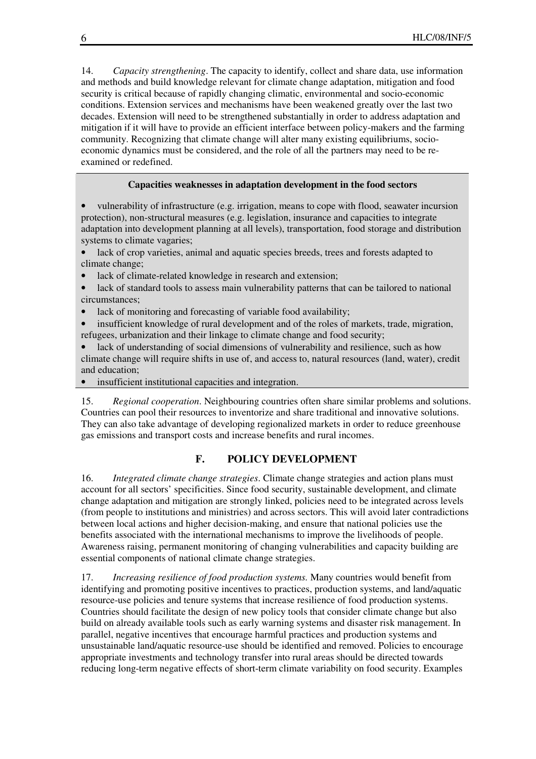14. *Capacity strengthening*. The capacity to identify, collect and share data, use information and methods and build knowledge relevant for climate change adaptation, mitigation and food security is critical because of rapidly changing climatic, environmental and socio-economic conditions. Extension services and mechanisms have been weakened greatly over the last two decades. Extension will need to be strengthened substantially in order to address adaptation and mitigation if it will have to provide an efficient interface between policy-makers and the farming community. Recognizing that climate change will alter many existing equilibriums, socioeconomic dynamics must be considered, and the role of all the partners may need to be reexamined or redefined.

#### **Capacities weaknesses in adaptation development in the food sectors**

• vulnerability of infrastructure (e.g. irrigation, means to cope with flood, seawater incursion protection), non-structural measures (e.g. legislation, insurance and capacities to integrate adaptation into development planning at all levels), transportation, food storage and distribution systems to climate vagaries;

lack of crop varieties, animal and aquatic species breeds, trees and forests adapted to climate change;

- lack of climate-related knowledge in research and extension;
- lack of standard tools to assess main vulnerability patterns that can be tailored to national circumstances;
- lack of monitoring and forecasting of variable food availability;

• insufficient knowledge of rural development and of the roles of markets, trade, migration, refugees, urbanization and their linkage to climate change and food security;

lack of understanding of social dimensions of vulnerability and resilience, such as how climate change will require shifts in use of, and access to, natural resources (land, water), credit and education;

• insufficient institutional capacities and integration.

15. *Regional cooperation*. Neighbouring countries often share similar problems and solutions. Countries can pool their resources to inventorize and share traditional and innovative solutions. They can also take advantage of developing regionalized markets in order to reduce greenhouse gas emissions and transport costs and increase benefits and rural incomes.

#### **F. POLICY DEVELOPMENT**

16. *Integrated climate change strategies*. Climate change strategies and action plans must account for all sectors' specificities. Since food security, sustainable development, and climate change adaptation and mitigation are strongly linked, policies need to be integrated across levels (from people to institutions and ministries) and across sectors. This will avoid later contradictions between local actions and higher decision-making, and ensure that national policies use the benefits associated with the international mechanisms to improve the livelihoods of people. Awareness raising, permanent monitoring of changing vulnerabilities and capacity building are essential components of national climate change strategies.

17. *Increasing resilience of food production systems.* Many countries would benefit from identifying and promoting positive incentives to practices, production systems, and land/aquatic resource-use policies and tenure systems that increase resilience of food production systems. Countries should facilitate the design of new policy tools that consider climate change but also build on already available tools such as early warning systems and disaster risk management. In parallel, negative incentives that encourage harmful practices and production systems and unsustainable land/aquatic resource-use should be identified and removed. Policies to encourage appropriate investments and technology transfer into rural areas should be directed towards reducing long-term negative effects of short-term climate variability on food security. Examples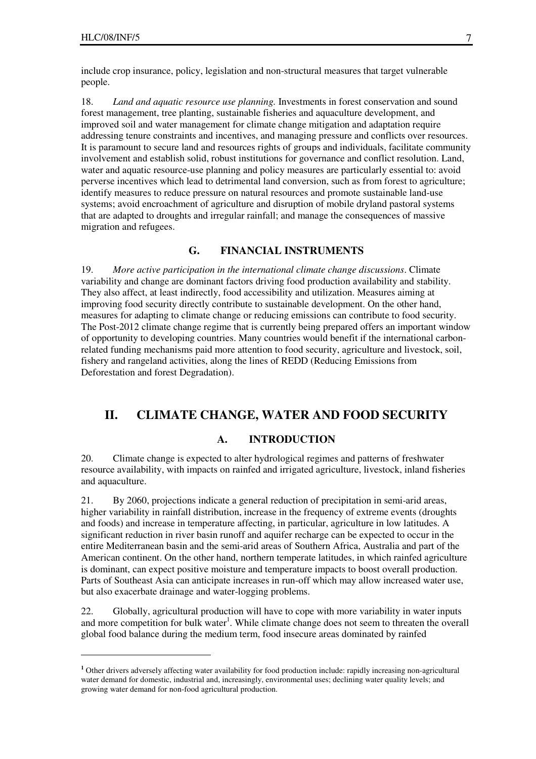$\overline{a}$ 

include crop insurance, policy, legislation and non-structural measures that target vulnerable people.

18. *Land and aquatic resource use planning.* Investments in forest conservation and sound forest management, tree planting, sustainable fisheries and aquaculture development, and improved soil and water management for climate change mitigation and adaptation require addressing tenure constraints and incentives, and managing pressure and conflicts over resources. It is paramount to secure land and resources rights of groups and individuals, facilitate community involvement and establish solid, robust institutions for governance and conflict resolution. Land, water and aquatic resource-use planning and policy measures are particularly essential to: avoid perverse incentives which lead to detrimental land conversion, such as from forest to agriculture; identify measures to reduce pressure on natural resources and promote sustainable land-use systems; avoid encroachment of agriculture and disruption of mobile dryland pastoral systems that are adapted to droughts and irregular rainfall; and manage the consequences of massive migration and refugees.

#### **G. FINANCIAL INSTRUMENTS**

19. *More active participation in the international climate change discussions*. Climate variability and change are dominant factors driving food production availability and stability. They also affect, at least indirectly, food accessibility and utilization. Measures aiming at improving food security directly contribute to sustainable development. On the other hand, measures for adapting to climate change or reducing emissions can contribute to food security. The Post-2012 climate change regime that is currently being prepared offers an important window of opportunity to developing countries. Many countries would benefit if the international carbonrelated funding mechanisms paid more attention to food security, agriculture and livestock, soil, fishery and rangeland activities, along the lines of REDD (Reducing Emissions from Deforestation and forest Degradation).

### **II. CLIMATE CHANGE, WATER AND FOOD SECURITY**

#### **A. INTRODUCTION**

20. Climate change is expected to alter hydrological regimes and patterns of freshwater resource availability, with impacts on rainfed and irrigated agriculture, livestock, inland fisheries and aquaculture.

21. By 2060, projections indicate a general reduction of precipitation in semi-arid areas, higher variability in rainfall distribution, increase in the frequency of extreme events (droughts and foods) and increase in temperature affecting, in particular, agriculture in low latitudes. A significant reduction in river basin runoff and aquifer recharge can be expected to occur in the entire Mediterranean basin and the semi-arid areas of Southern Africa, Australia and part of the American continent. On the other hand, northern temperate latitudes, in which rainfed agriculture is dominant, can expect positive moisture and temperature impacts to boost overall production. Parts of Southeast Asia can anticipate increases in run-off which may allow increased water use, but also exacerbate drainage and water-logging problems.

22. Globally, agricultural production will have to cope with more variability in water inputs and more competition for bulk water<sup>1</sup>. While climate change does not seem to threaten the overall global food balance during the medium term, food insecure areas dominated by rainfed

**<sup>1</sup>** Other drivers adversely affecting water availability for food production include: rapidly increasing non-agricultural water demand for domestic, industrial and, increasingly, environmental uses; declining water quality levels; and growing water demand for non-food agricultural production.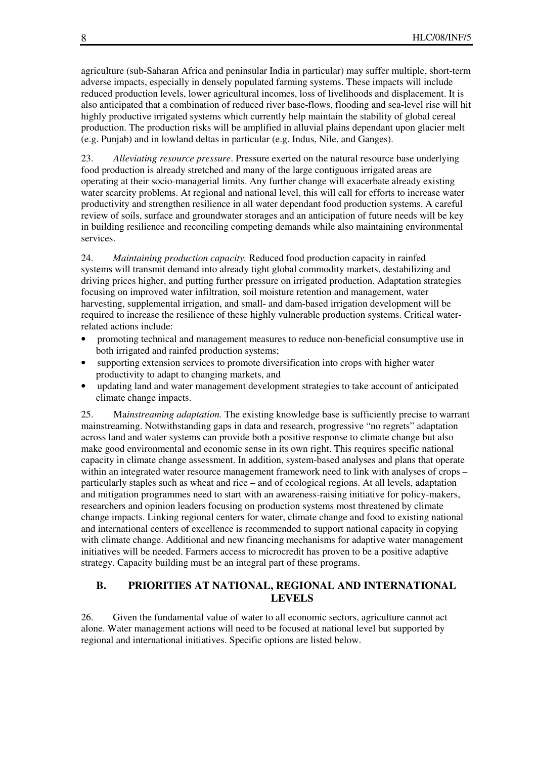agriculture (sub-Saharan Africa and peninsular India in particular) may suffer multiple, short-term adverse impacts, especially in densely populated farming systems. These impacts will include reduced production levels, lower agricultural incomes, loss of livelihoods and displacement. It is also anticipated that a combination of reduced river base-flows, flooding and sea-level rise will hit highly productive irrigated systems which currently help maintain the stability of global cereal production. The production risks will be amplified in alluvial plains dependant upon glacier melt (e.g. Punjab) and in lowland deltas in particular (e.g. Indus, Nile, and Ganges).

23. *Alleviating resource pressure*. Pressure exerted on the natural resource base underlying food production is already stretched and many of the large contiguous irrigated areas are operating at their socio-managerial limits. Any further change will exacerbate already existing water scarcity problems. At regional and national level, this will call for efforts to increase water productivity and strengthen resilience in all water dependant food production systems. A careful review of soils, surface and groundwater storages and an anticipation of future needs will be key in building resilience and reconciling competing demands while also maintaining environmental services.

24. *Maintaining production capacity.* Reduced food production capacity in rainfed systems will transmit demand into already tight global commodity markets, destabilizing and driving prices higher, and putting further pressure on irrigated production. Adaptation strategies focusing on improved water infiltration, soil moisture retention and management, water harvesting, supplemental irrigation, and small- and dam-based irrigation development will be required to increase the resilience of these highly vulnerable production systems. Critical waterrelated actions include:

- promoting technical and management measures to reduce non-beneficial consumptive use in both irrigated and rainfed production systems;
- supporting extension services to promote diversification into crops with higher water productivity to adapt to changing markets, and
- updating land and water management development strategies to take account of anticipated climate change impacts.

25. Ma*instreaming adaptation.* The existing knowledge base is sufficiently precise to warrant mainstreaming. Notwithstanding gaps in data and research, progressive "no regrets" adaptation across land and water systems can provide both a positive response to climate change but also make good environmental and economic sense in its own right. This requires specific national capacity in climate change assessment. In addition, system-based analyses and plans that operate within an integrated water resource management framework need to link with analyses of crops – particularly staples such as wheat and rice – and of ecological regions. At all levels, adaptation and mitigation programmes need to start with an awareness-raising initiative for policy-makers, researchers and opinion leaders focusing on production systems most threatened by climate change impacts. Linking regional centers for water, climate change and food to existing national and international centers of excellence is recommended to support national capacity in copying with climate change. Additional and new financing mechanisms for adaptive water management initiatives will be needed. Farmers access to microcredit has proven to be a positive adaptive strategy. Capacity building must be an integral part of these programs.

#### **B. PRIORITIES AT NATIONAL, REGIONAL AND INTERNATIONAL LEVELS**

26. Given the fundamental value of water to all economic sectors, agriculture cannot act alone. Water management actions will need to be focused at national level but supported by regional and international initiatives. Specific options are listed below.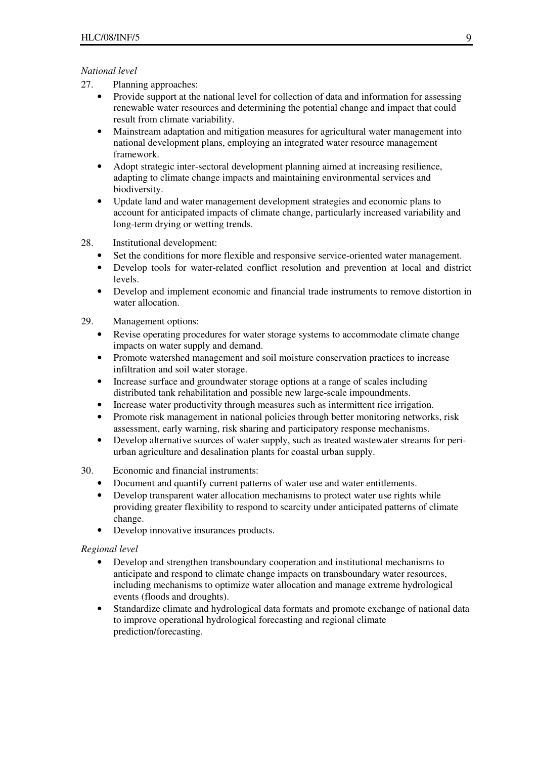#### *National level*

- 27. Planning approaches:
	- Provide support at the national level for collection of data and information for assessing renewable water resources and determining the potential change and impact that could result from climate variability.
	- Mainstream adaptation and mitigation measures for agricultural water management into national development plans, employing an integrated water resource management framework.
	- Adopt strategic inter-sectoral development planning aimed at increasing resilience, adapting to climate change impacts and maintaining environmental services and biodiversity.
	- Update land and water management development strategies and economic plans to account for anticipated impacts of climate change, particularly increased variability and long-term drying or wetting trends.
- 28. Institutional development:
	- Set the conditions for more flexible and responsive service-oriented water management.
	- Develop tools for water-related conflict resolution and prevention at local and district levels.
	- Develop and implement economic and financial trade instruments to remove distortion in water allocation.
- 29. Management options:
	- Revise operating procedures for water storage systems to accommodate climate change impacts on water supply and demand.
	- Promote watershed management and soil moisture conservation practices to increase infiltration and soil water storage.
	- Increase surface and groundwater storage options at a range of scales including distributed tank rehabilitation and possible new large-scale impoundments.
	- Increase water productivity through measures such as intermittent rice irrigation.
	- Promote risk management in national policies through better monitoring networks, risk assessment, early warning, risk sharing and participatory response mechanisms.
	- Develop alternative sources of water supply, such as treated wastewater streams for periurban agriculture and desalination plants for coastal urban supply.

#### 30. Economic and financial instruments:

- Document and quantify current patterns of water use and water entitlements.
- Develop transparent water allocation mechanisms to protect water use rights while providing greater flexibility to respond to scarcity under anticipated patterns of climate change.
- Develop innovative insurances products.

#### *Regional level*

- Develop and strengthen transboundary cooperation and institutional mechanisms to anticipate and respond to climate change impacts on transboundary water resources, including mechanisms to optimize water allocation and manage extreme hydrological events (floods and droughts).
- Standardize climate and hydrological data formats and promote exchange of national data to improve operational hydrological forecasting and regional climate prediction/forecasting.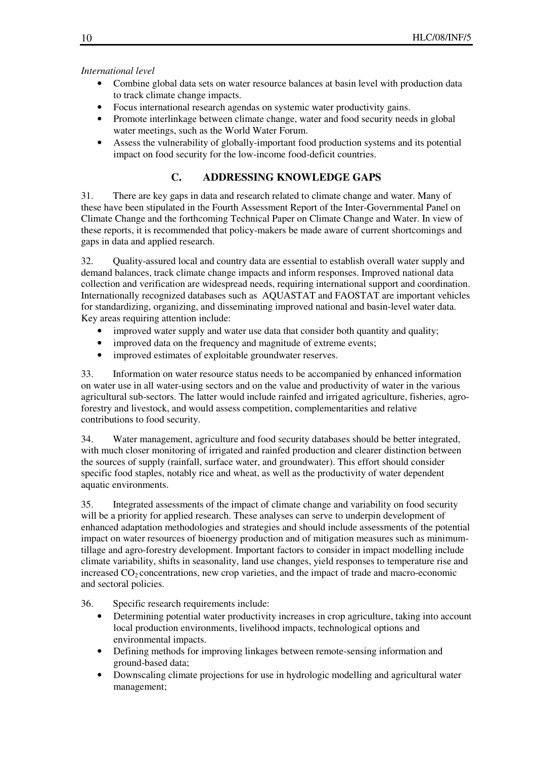#### *International level*

- Combine global data sets on water resource balances at basin level with production data to track climate change impacts.
- Focus international research agendas on systemic water productivity gains.
- Promote interlinkage between climate change, water and food security needs in global water meetings, such as the World Water Forum.
- Assess the vulnerability of globally-important food production systems and its potential impact on food security for the low-income food-deficit countries.

## **C. ADDRESSING KNOWLEDGE GAPS**

31. There are key gaps in data and research related to climate change and water. Many of these have been stipulated in the Fourth Assessment Report of the Inter-Governmental Panel on Climate Change and the forthcoming Technical Paper on Climate Change and Water. In view of these reports, it is recommended that policy-makers be made aware of current shortcomings and gaps in data and applied research.

32. Quality-assured local and country data are essential to establish overall water supply and demand balances, track climate change impacts and inform responses. Improved national data collection and verification are widespread needs, requiring international support and coordination. Internationally recognized databases such as AQUASTAT and FAOSTAT are important vehicles for standardizing, organizing, and disseminating improved national and basin-level water data. Key areas requiring attention include:

- improved water supply and water use data that consider both quantity and quality;
- improved data on the frequency and magnitude of extreme events;
- improved estimates of exploitable groundwater reserves.

33. Information on water resource status needs to be accompanied by enhanced information on water use in all water-using sectors and on the value and productivity of water in the various agricultural sub-sectors. The latter would include rainfed and irrigated agriculture, fisheries, agroforestry and livestock, and would assess competition, complementarities and relative contributions to food security.

34. Water management, agriculture and food security databases should be better integrated, with much closer monitoring of irrigated and rainfed production and clearer distinction between the sources of supply (rainfall, surface water, and groundwater). This effort should consider specific food staples, notably rice and wheat, as well as the productivity of water dependent aquatic environments.

35. Integrated assessments of the impact of climate change and variability on food security will be a priority for applied research. These analyses can serve to underpin development of enhanced adaptation methodologies and strategies and should include assessments of the potential impact on water resources of bioenergy production and of mitigation measures such as minimumtillage and agro-forestry development. Important factors to consider in impact modelling include climate variability, shifts in seasonality, land use changes, yield responses to temperature rise and increased  $CO<sub>2</sub>$  concentrations, new crop varieties, and the impact of trade and macro-economic and sectoral policies.

36. Specific research requirements include:

- Determining potential water productivity increases in crop agriculture, taking into account local production environments, livelihood impacts, technological options and environmental impacts.
- Defining methods for improving linkages between remote-sensing information and ground-based data;
- Downscaling climate projections for use in hydrologic modelling and agricultural water management;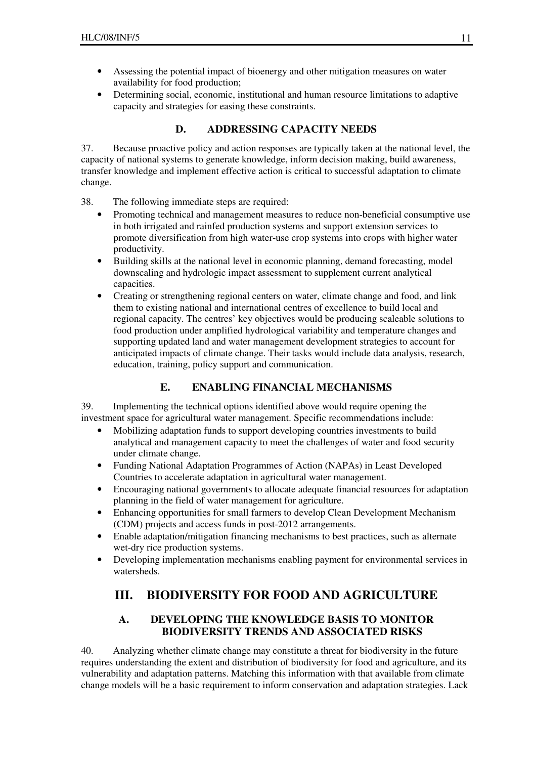- Assessing the potential impact of bioenergy and other mitigation measures on water availability for food production;
- Determining social, economic, institutional and human resource limitations to adaptive capacity and strategies for easing these constraints.

### **D. ADDRESSING CAPACITY NEEDS**

37. Because proactive policy and action responses are typically taken at the national level, the capacity of national systems to generate knowledge, inform decision making, build awareness, transfer knowledge and implement effective action is critical to successful adaptation to climate change.

- 38. The following immediate steps are required:
	- Promoting technical and management measures to reduce non-beneficial consumptive use in both irrigated and rainfed production systems and support extension services to promote diversification from high water-use crop systems into crops with higher water productivity.
	- Building skills at the national level in economic planning, demand forecasting, model downscaling and hydrologic impact assessment to supplement current analytical capacities.
	- Creating or strengthening regional centers on water, climate change and food, and link them to existing national and international centres of excellence to build local and regional capacity. The centres' key objectives would be producing scaleable solutions to food production under amplified hydrological variability and temperature changes and supporting updated land and water management development strategies to account for anticipated impacts of climate change. Their tasks would include data analysis, research, education, training, policy support and communication.

### **E. ENABLING FINANCIAL MECHANISMS**

39. Implementing the technical options identified above would require opening the investment space for agricultural water management. Specific recommendations include:

- Mobilizing adaptation funds to support developing countries investments to build analytical and management capacity to meet the challenges of water and food security under climate change.
- Funding National Adaptation Programmes of Action (NAPAs) in Least Developed Countries to accelerate adaptation in agricultural water management.
- Encouraging national governments to allocate adequate financial resources for adaptation planning in the field of water management for agriculture.
- Enhancing opportunities for small farmers to develop Clean Development Mechanism (CDM) projects and access funds in post-2012 arrangements.
- Enable adaptation/mitigation financing mechanisms to best practices, such as alternate wet-dry rice production systems.
- Developing implementation mechanisms enabling payment for environmental services in watersheds.

# **III. BIODIVERSITY FOR FOOD AND AGRICULTURE**

### **A. DEVELOPING THE KNOWLEDGE BASIS TO MONITOR BIODIVERSITY TRENDS AND ASSOCIATED RISKS**

40. Analyzing whether climate change may constitute a threat for biodiversity in the future requires understanding the extent and distribution of biodiversity for food and agriculture, and its vulnerability and adaptation patterns. Matching this information with that available from climate change models will be a basic requirement to inform conservation and adaptation strategies. Lack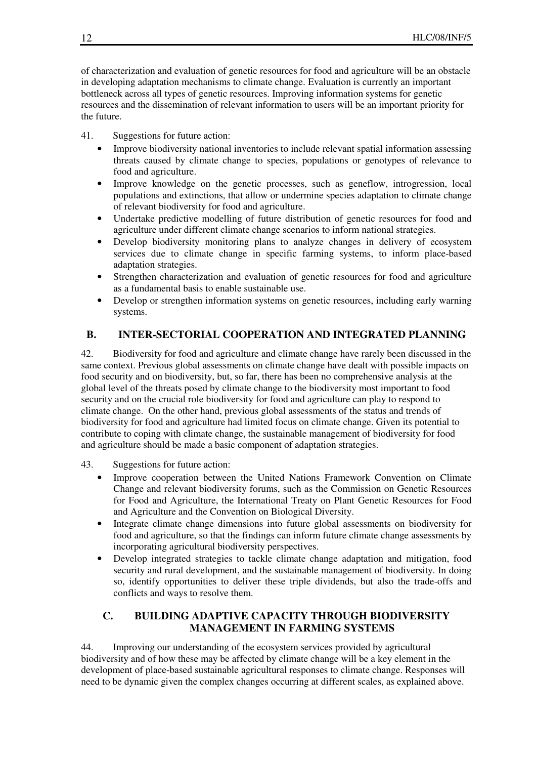of characterization and evaluation of genetic resources for food and agriculture will be an obstacle in developing adaptation mechanisms to climate change. Evaluation is currently an important bottleneck across all types of genetic resources. Improving information systems for genetic resources and the dissemination of relevant information to users will be an important priority for the future.

41. Suggestions for future action:

- Improve biodiversity national inventories to include relevant spatial information assessing threats caused by climate change to species, populations or genotypes of relevance to food and agriculture.
- Improve knowledge on the genetic processes, such as geneflow, introgression, local populations and extinctions, that allow or undermine species adaptation to climate change of relevant biodiversity for food and agriculture.
- Undertake predictive modelling of future distribution of genetic resources for food and agriculture under different climate change scenarios to inform national strategies.
- Develop biodiversity monitoring plans to analyze changes in delivery of ecosystem services due to climate change in specific farming systems, to inform place-based adaptation strategies.
- Strengthen characterization and evaluation of genetic resources for food and agriculture as a fundamental basis to enable sustainable use.
- Develop or strengthen information systems on genetic resources, including early warning systems.

### **B. INTER-SECTORIAL COOPERATION AND INTEGRATED PLANNING**

42. Biodiversity for food and agriculture and climate change have rarely been discussed in the same context. Previous global assessments on climate change have dealt with possible impacts on food security and on biodiversity, but, so far, there has been no comprehensive analysis at the global level of the threats posed by climate change to the biodiversity most important to food security and on the crucial role biodiversity for food and agriculture can play to respond to climate change. On the other hand, previous global assessments of the status and trends of biodiversity for food and agriculture had limited focus on climate change. Given its potential to contribute to coping with climate change, the sustainable management of biodiversity for food and agriculture should be made a basic component of adaptation strategies.

- 43. Suggestions for future action:
	- Improve cooperation between the United Nations Framework Convention on Climate Change and relevant biodiversity forums, such as the Commission on Genetic Resources for Food and Agriculture, the International Treaty on Plant Genetic Resources for Food and Agriculture and the Convention on Biological Diversity.
	- Integrate climate change dimensions into future global assessments on biodiversity for food and agriculture, so that the findings can inform future climate change assessments by incorporating agricultural biodiversity perspectives.
	- Develop integrated strategies to tackle climate change adaptation and mitigation, food security and rural development, and the sustainable management of biodiversity. In doing so, identify opportunities to deliver these triple dividends, but also the trade-offs and conflicts and ways to resolve them.

### **C. BUILDING ADAPTIVE CAPACITY THROUGH BIODIVERSITY MANAGEMENT IN FARMING SYSTEMS**

44. Improving our understanding of the ecosystem services provided by agricultural biodiversity and of how these may be affected by climate change will be a key element in the development of place-based sustainable agricultural responses to climate change. Responses will need to be dynamic given the complex changes occurring at different scales, as explained above.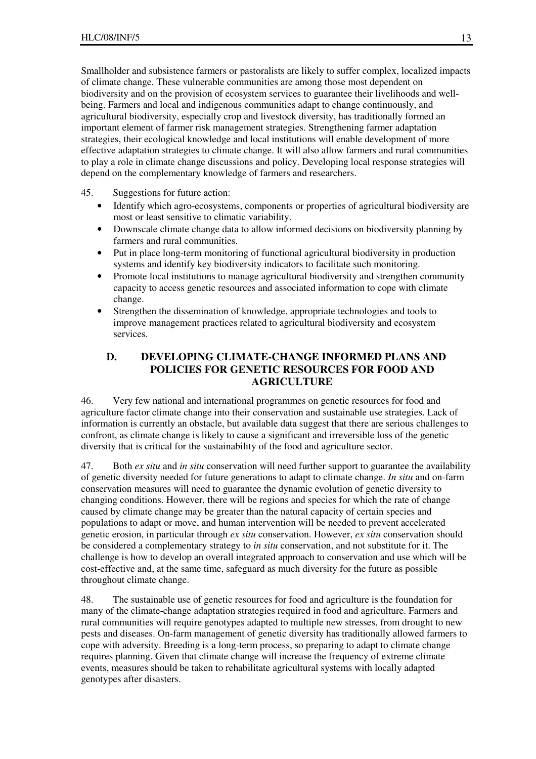Smallholder and subsistence farmers or pastoralists are likely to suffer complex, localized impacts of climate change. These vulnerable communities are among those most dependent on biodiversity and on the provision of ecosystem services to guarantee their livelihoods and wellbeing. Farmers and local and indigenous communities adapt to change continuously, and agricultural biodiversity, especially crop and livestock diversity, has traditionally formed an important element of farmer risk management strategies. Strengthening farmer adaptation strategies, their ecological knowledge and local institutions will enable development of more effective adaptation strategies to climate change. It will also allow farmers and rural communities to play a role in climate change discussions and policy. Developing local response strategies will depend on the complementary knowledge of farmers and researchers.

#### 45. Suggestions for future action:

- Identify which agro-ecosystems, components or properties of agricultural biodiversity are most or least sensitive to climatic variability.
- Downscale climate change data to allow informed decisions on biodiversity planning by farmers and rural communities.
- Put in place long-term monitoring of functional agricultural biodiversity in production systems and identify key biodiversity indicators to facilitate such monitoring.
- Promote local institutions to manage agricultural biodiversity and strengthen community capacity to access genetic resources and associated information to cope with climate change.
- Strengthen the dissemination of knowledge, appropriate technologies and tools to improve management practices related to agricultural biodiversity and ecosystem services.

### **D. DEVELOPING CLIMATE-CHANGE INFORMED PLANS AND POLICIES FOR GENETIC RESOURCES FOR FOOD AND AGRICULTURE**

46. Very few national and international programmes on genetic resources for food and agriculture factor climate change into their conservation and sustainable use strategies. Lack of information is currently an obstacle, but available data suggest that there are serious challenges to confront, as climate change is likely to cause a significant and irreversible loss of the genetic diversity that is critical for the sustainability of the food and agriculture sector.

47. Both *ex situ* and *in situ* conservation will need further support to guarantee the availability of genetic diversity needed for future generations to adapt to climate change. *In situ* and on-farm conservation measures will need to guarantee the dynamic evolution of genetic diversity to changing conditions. However, there will be regions and species for which the rate of change caused by climate change may be greater than the natural capacity of certain species and populations to adapt or move, and human intervention will be needed to prevent accelerated genetic erosion, in particular through *ex situ* conservation. However, *ex situ* conservation should be considered a complementary strategy to *in situ* conservation, and not substitute for it. The challenge is how to develop an overall integrated approach to conservation and use which will be cost-effective and, at the same time, safeguard as much diversity for the future as possible throughout climate change.

48. The sustainable use of genetic resources for food and agriculture is the foundation for many of the climate-change adaptation strategies required in food and agriculture. Farmers and rural communities will require genotypes adapted to multiple new stresses, from drought to new pests and diseases. On-farm management of genetic diversity has traditionally allowed farmers to cope with adversity. Breeding is a long-term process, so preparing to adapt to climate change requires planning. Given that climate change will increase the frequency of extreme climate events, measures should be taken to rehabilitate agricultural systems with locally adapted genotypes after disasters.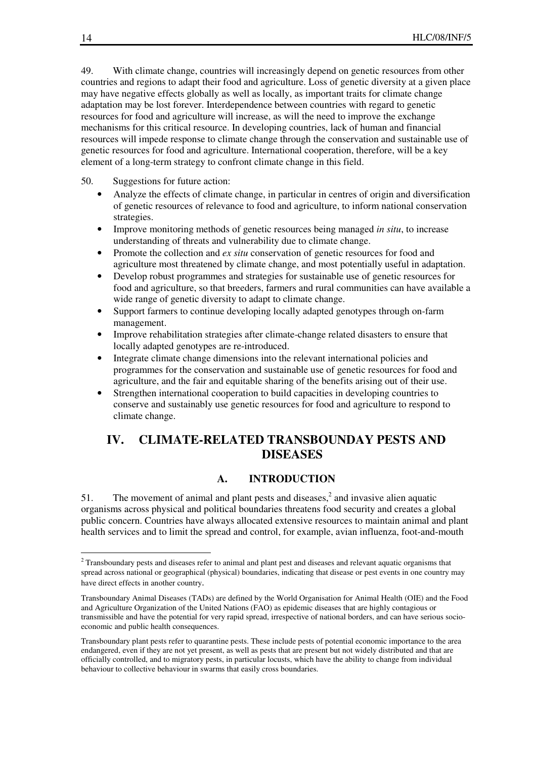49. With climate change, countries will increasingly depend on genetic resources from other countries and regions to adapt their food and agriculture. Loss of genetic diversity at a given place may have negative effects globally as well as locally, as important traits for climate change adaptation may be lost forever. Interdependence between countries with regard to genetic resources for food and agriculture will increase, as will the need to improve the exchange mechanisms for this critical resource. In developing countries, lack of human and financial resources will impede response to climate change through the conservation and sustainable use of genetic resources for food and agriculture. International cooperation, therefore, will be a key element of a long-term strategy to confront climate change in this field.

#### 50. Suggestions for future action:

- Analyze the effects of climate change, in particular in centres of origin and diversification of genetic resources of relevance to food and agriculture, to inform national conservation strategies.
- Improve monitoring methods of genetic resources being managed *in situ*, to increase understanding of threats and vulnerability due to climate change.
- Promote the collection and *ex situ* conservation of genetic resources for food and agriculture most threatened by climate change, and most potentially useful in adaptation.
- Develop robust programmes and strategies for sustainable use of genetic resources for food and agriculture, so that breeders, farmers and rural communities can have available a wide range of genetic diversity to adapt to climate change.
- Support farmers to continue developing locally adapted genotypes through on-farm management.
- Improve rehabilitation strategies after climate-change related disasters to ensure that locally adapted genotypes are re-introduced.
- Integrate climate change dimensions into the relevant international policies and programmes for the conservation and sustainable use of genetic resources for food and agriculture, and the fair and equitable sharing of the benefits arising out of their use.
- Strengthen international cooperation to build capacities in developing countries to conserve and sustainably use genetic resources for food and agriculture to respond to climate change.

# **IV. CLIMATE-RELATED TRANSBOUNDAY PESTS AND DISEASES**

### **A. INTRODUCTION**

51. The movement of animal and plant pests and diseases, $<sup>2</sup>$  and invasive alien aquatic</sup> organisms across physical and political boundaries threatens food security and creates a global public concern. Countries have always allocated extensive resources to maintain animal and plant health services and to limit the spread and control, for example, avian influenza, foot-and-mouth

 $\overline{a}$ 

<sup>&</sup>lt;sup>2</sup> Transboundary pests and diseases refer to animal and plant pest and diseases and relevant aquatic organisms that spread across national or geographical (physical) boundaries, indicating that disease or pest events in one country may have direct effects in another country.

Transboundary Animal Diseases (TADs) are defined by the World Organisation for Animal Health (OIE) and the Food and Agriculture Organization of the United Nations (FAO) as epidemic diseases that are highly contagious or transmissible and have the potential for very rapid spread, irrespective of national borders, and can have serious socioeconomic and public health consequences.

Transboundary plant pests refer to quarantine pests. These include pests of potential economic importance to the area endangered, even if they are not yet present, as well as pests that are present but not widely distributed and that are officially controlled, and to migratory pests, in particular locusts, which have the ability to change from individual behaviour to collective behaviour in swarms that easily cross boundaries.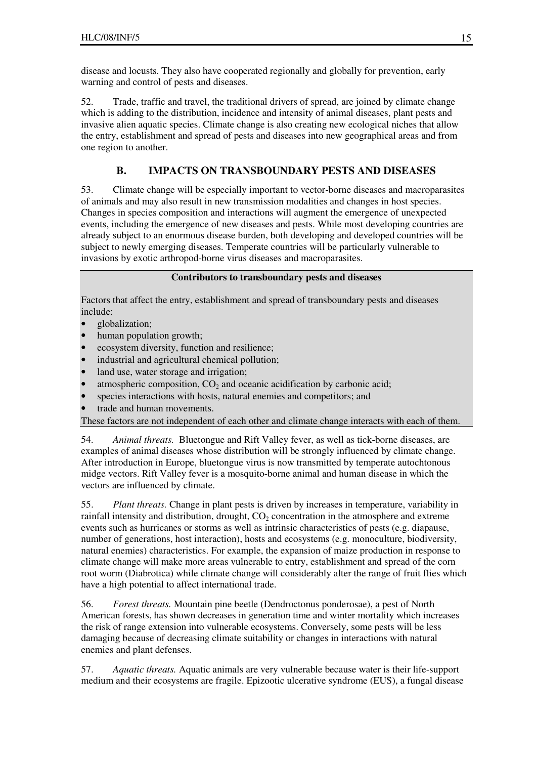disease and locusts. They also have cooperated regionally and globally for prevention, early warning and control of pests and diseases.

52. Trade, traffic and travel, the traditional drivers of spread, are joined by climate change which is adding to the distribution, incidence and intensity of animal diseases, plant pests and invasive alien aquatic species. Climate change is also creating new ecological niches that allow the entry, establishment and spread of pests and diseases into new geographical areas and from one region to another.

### **B. IMPACTS ON TRANSBOUNDARY PESTS AND DISEASES**

53. Climate change will be especially important to vector-borne diseases and macroparasites of animals and may also result in new transmission modalities and changes in host species. Changes in species composition and interactions will augment the emergence of unexpected events, including the emergence of new diseases and pests. While most developing countries are already subject to an enormous disease burden, both developing and developed countries will be subject to newly emerging diseases. Temperate countries will be particularly vulnerable to invasions by exotic arthropod-borne virus diseases and macroparasites.

#### **Contributors to transboundary pests and diseases**

Factors that affect the entry, establishment and spread of transboundary pests and diseases include:

- globalization;
- human population growth;
- ecosystem diversity, function and resilience;
- industrial and agricultural chemical pollution;
- land use, water storage and irrigation;
- atmospheric composition,  $CO<sub>2</sub>$  and oceanic acidification by carbonic acid;
- species interactions with hosts, natural enemies and competitors; and
- trade and human movements.

These factors are not independent of each other and climate change interacts with each of them.

54. *Animal threats.* Bluetongue and Rift Valley fever, as well as tick-borne diseases, are examples of animal diseases whose distribution will be strongly influenced by climate change. After introduction in Europe, bluetongue virus is now transmitted by temperate autochtonous midge vectors. Rift Valley fever is a mosquito-borne animal and human disease in which the vectors are influenced by climate.

55. *Plant threats.* Change in plant pests is driven by increases in temperature, variability in rainfall intensity and distribution, drought,  $CO<sub>2</sub>$  concentration in the atmosphere and extreme events such as hurricanes or storms as well as intrinsic characteristics of pests (e.g. diapause, number of generations, host interaction), hosts and ecosystems (e.g. monoculture, biodiversity, natural enemies) characteristics. For example, the expansion of maize production in response to climate change will make more areas vulnerable to entry, establishment and spread of the corn root worm (Diabrotica) while climate change will considerably alter the range of fruit flies which have a high potential to affect international trade.

56. *Forest threats.* Mountain pine beetle (Dendroctonus ponderosae), a pest of North American forests, has shown decreases in generation time and winter mortality which increases the risk of range extension into vulnerable ecosystems. Conversely, some pests will be less damaging because of decreasing climate suitability or changes in interactions with natural enemies and plant defenses.

57. *Aquatic threats.* Aquatic animals are very vulnerable because water is their life-support medium and their ecosystems are fragile. Epizootic ulcerative syndrome (EUS), a fungal disease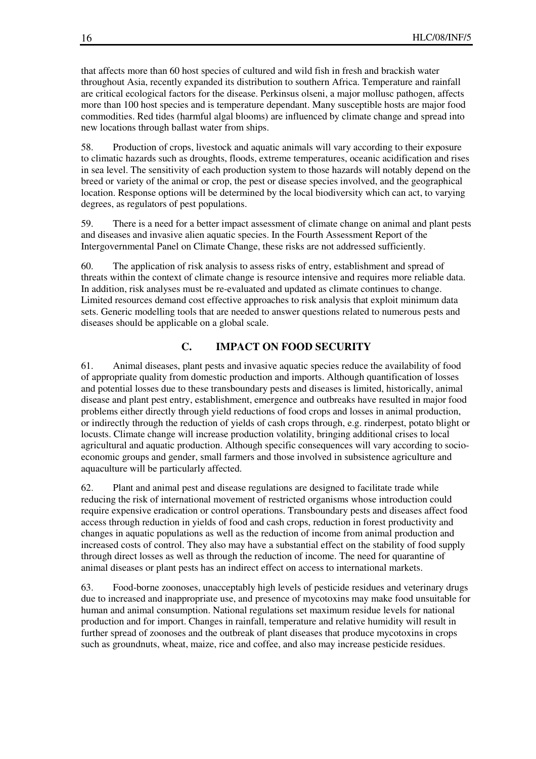that affects more than 60 host species of cultured and wild fish in fresh and brackish water throughout Asia, recently expanded its distribution to southern Africa. Temperature and rainfall are critical ecological factors for the disease. Perkinsus olseni, a major mollusc pathogen, affects more than 100 host species and is temperature dependant. Many susceptible hosts are major food commodities. Red tides (harmful algal blooms) are influenced by climate change and spread into new locations through ballast water from ships.

58. Production of crops, livestock and aquatic animals will vary according to their exposure to climatic hazards such as droughts, floods, extreme temperatures, oceanic acidification and rises in sea level. The sensitivity of each production system to those hazards will notably depend on the breed or variety of the animal or crop, the pest or disease species involved, and the geographical location. Response options will be determined by the local biodiversity which can act, to varying degrees, as regulators of pest populations.

59. There is a need for a better impact assessment of climate change on animal and plant pests and diseases and invasive alien aquatic species. In the Fourth Assessment Report of the Intergovernmental Panel on Climate Change, these risks are not addressed sufficiently.

60. The application of risk analysis to assess risks of entry, establishment and spread of threats within the context of climate change is resource intensive and requires more reliable data. In addition, risk analyses must be re-evaluated and updated as climate continues to change. Limited resources demand cost effective approaches to risk analysis that exploit minimum data sets. Generic modelling tools that are needed to answer questions related to numerous pests and diseases should be applicable on a global scale.

#### **C. IMPACT ON FOOD SECURITY**

61. Animal diseases, plant pests and invasive aquatic species reduce the availability of food of appropriate quality from domestic production and imports. Although quantification of losses and potential losses due to these transboundary pests and diseases is limited, historically, animal disease and plant pest entry, establishment, emergence and outbreaks have resulted in major food problems either directly through yield reductions of food crops and losses in animal production, or indirectly through the reduction of yields of cash crops through, e.g. rinderpest, potato blight or locusts. Climate change will increase production volatility, bringing additional crises to local agricultural and aquatic production. Although specific consequences will vary according to socioeconomic groups and gender, small farmers and those involved in subsistence agriculture and aquaculture will be particularly affected.

62. Plant and animal pest and disease regulations are designed to facilitate trade while reducing the risk of international movement of restricted organisms whose introduction could require expensive eradication or control operations. Transboundary pests and diseases affect food access through reduction in yields of food and cash crops, reduction in forest productivity and changes in aquatic populations as well as the reduction of income from animal production and increased costs of control. They also may have a substantial effect on the stability of food supply through direct losses as well as through the reduction of income. The need for quarantine of animal diseases or plant pests has an indirect effect on access to international markets.

63. Food-borne zoonoses, unacceptably high levels of pesticide residues and veterinary drugs due to increased and inappropriate use, and presence of mycotoxins may make food unsuitable for human and animal consumption. National regulations set maximum residue levels for national production and for import. Changes in rainfall, temperature and relative humidity will result in further spread of zoonoses and the outbreak of plant diseases that produce mycotoxins in crops such as groundnuts, wheat, maize, rice and coffee, and also may increase pesticide residues.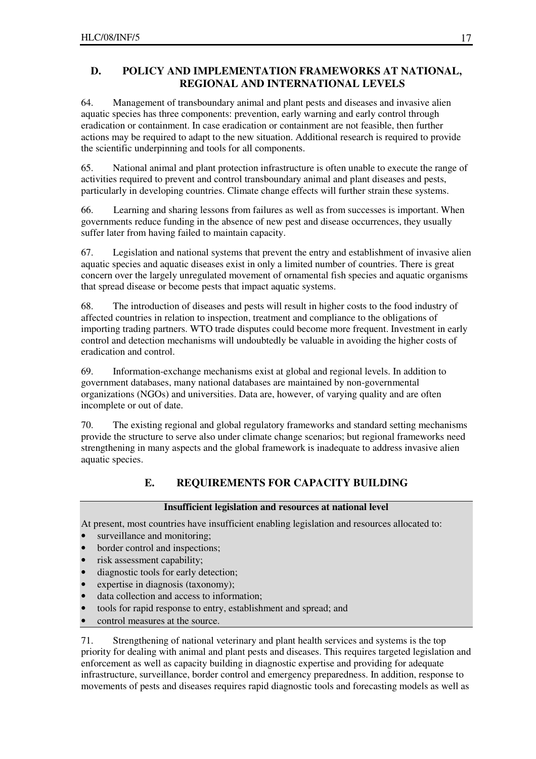# **D. POLICY AND IMPLEMENTATION FRAMEWORKS AT NATIONAL, REGIONAL AND INTERNATIONAL LEVELS**

64. Management of transboundary animal and plant pests and diseases and invasive alien aquatic species has three components: prevention, early warning and early control through eradication or containment. In case eradication or containment are not feasible, then further actions may be required to adapt to the new situation. Additional research is required to provide the scientific underpinning and tools for all components.

65. National animal and plant protection infrastructure is often unable to execute the range of activities required to prevent and control transboundary animal and plant diseases and pests, particularly in developing countries. Climate change effects will further strain these systems.

66. Learning and sharing lessons from failures as well as from successes is important. When governments reduce funding in the absence of new pest and disease occurrences, they usually suffer later from having failed to maintain capacity.

67. Legislation and national systems that prevent the entry and establishment of invasive alien aquatic species and aquatic diseases exist in only a limited number of countries. There is great concern over the largely unregulated movement of ornamental fish species and aquatic organisms that spread disease or become pests that impact aquatic systems.

68. The introduction of diseases and pests will result in higher costs to the food industry of affected countries in relation to inspection, treatment and compliance to the obligations of importing trading partners. WTO trade disputes could become more frequent. Investment in early control and detection mechanisms will undoubtedly be valuable in avoiding the higher costs of eradication and control.

69. Information-exchange mechanisms exist at global and regional levels. In addition to government databases, many national databases are maintained by non-governmental organizations (NGOs) and universities. Data are, however, of varying quality and are often incomplete or out of date.

70. The existing regional and global regulatory frameworks and standard setting mechanisms provide the structure to serve also under climate change scenarios; but regional frameworks need strengthening in many aspects and the global framework is inadequate to address invasive alien aquatic species.

# **E. REQUIREMENTS FOR CAPACITY BUILDING**

# **Insufficient legislation and resources at national level**

At present, most countries have insufficient enabling legislation and resources allocated to:

- surveillance and monitoring;
- border control and inspections;
- risk assessment capability;
- diagnostic tools for early detection;
- expertise in diagnosis (taxonomy);
- data collection and access to information;
- tools for rapid response to entry, establishment and spread; and
- control measures at the source.

71. Strengthening of national veterinary and plant health services and systems is the top priority for dealing with animal and plant pests and diseases. This requires targeted legislation and enforcement as well as capacity building in diagnostic expertise and providing for adequate infrastructure, surveillance, border control and emergency preparedness. In addition, response to movements of pests and diseases requires rapid diagnostic tools and forecasting models as well as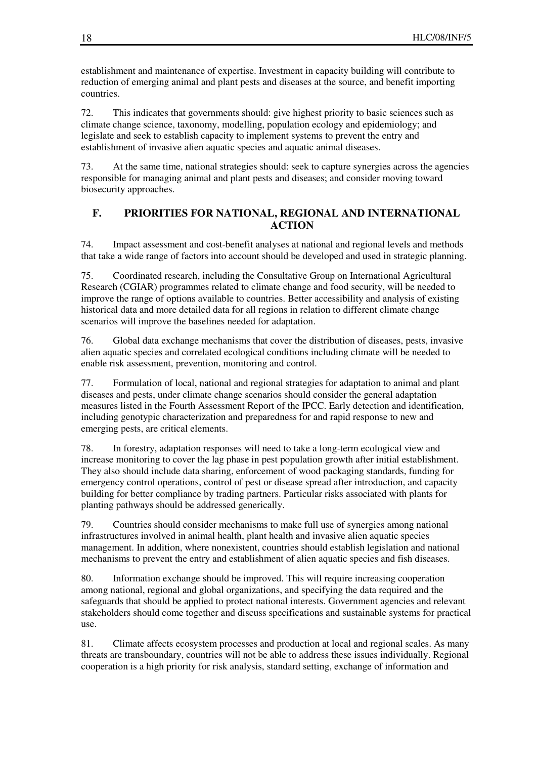establishment and maintenance of expertise. Investment in capacity building will contribute to reduction of emerging animal and plant pests and diseases at the source, and benefit importing countries.

72. This indicates that governments should: give highest priority to basic sciences such as climate change science, taxonomy, modelling, population ecology and epidemiology; and legislate and seek to establish capacity to implement systems to prevent the entry and establishment of invasive alien aquatic species and aquatic animal diseases.

73. At the same time, national strategies should: seek to capture synergies across the agencies responsible for managing animal and plant pests and diseases; and consider moving toward biosecurity approaches.

### **F. PRIORITIES FOR NATIONAL, REGIONAL AND INTERNATIONAL ACTION**

74. Impact assessment and cost-benefit analyses at national and regional levels and methods that take a wide range of factors into account should be developed and used in strategic planning.

75. Coordinated research, including the Consultative Group on International Agricultural Research (CGIAR) programmes related to climate change and food security, will be needed to improve the range of options available to countries. Better accessibility and analysis of existing historical data and more detailed data for all regions in relation to different climate change scenarios will improve the baselines needed for adaptation.

76. Global data exchange mechanisms that cover the distribution of diseases, pests, invasive alien aquatic species and correlated ecological conditions including climate will be needed to enable risk assessment, prevention, monitoring and control.

77. Formulation of local, national and regional strategies for adaptation to animal and plant diseases and pests, under climate change scenarios should consider the general adaptation measures listed in the Fourth Assessment Report of the IPCC. Early detection and identification, including genotypic characterization and preparedness for and rapid response to new and emerging pests, are critical elements.

78. In forestry, adaptation responses will need to take a long-term ecological view and increase monitoring to cover the lag phase in pest population growth after initial establishment. They also should include data sharing, enforcement of wood packaging standards, funding for emergency control operations, control of pest or disease spread after introduction, and capacity building for better compliance by trading partners. Particular risks associated with plants for planting pathways should be addressed generically.

79. Countries should consider mechanisms to make full use of synergies among national infrastructures involved in animal health, plant health and invasive alien aquatic species management. In addition, where nonexistent, countries should establish legislation and national mechanisms to prevent the entry and establishment of alien aquatic species and fish diseases.

80. Information exchange should be improved. This will require increasing cooperation among national, regional and global organizations, and specifying the data required and the safeguards that should be applied to protect national interests. Government agencies and relevant stakeholders should come together and discuss specifications and sustainable systems for practical use.

81. Climate affects ecosystem processes and production at local and regional scales. As many threats are transboundary, countries will not be able to address these issues individually. Regional cooperation is a high priority for risk analysis, standard setting, exchange of information and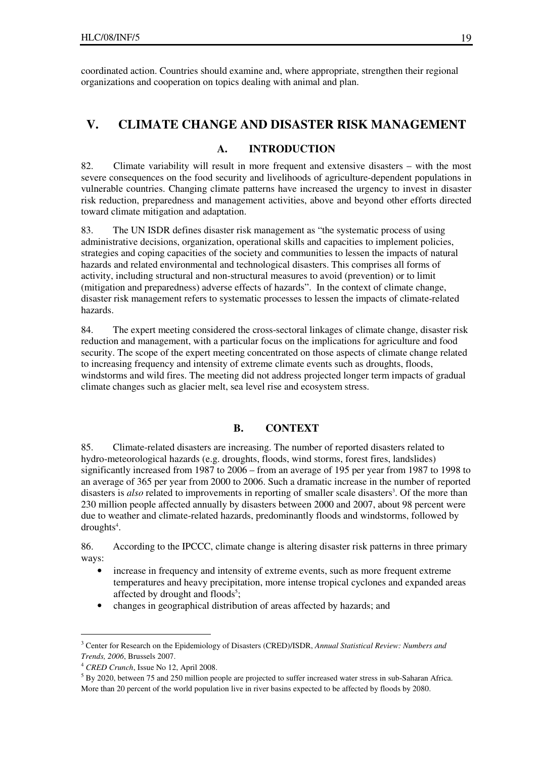coordinated action. Countries should examine and, where appropriate, strengthen their regional organizations and cooperation on topics dealing with animal and plan.

# **V. CLIMATE CHANGE AND DISASTER RISK MANAGEMENT**

#### **A. INTRODUCTION**

82. Climate variability will result in more frequent and extensive disasters – with the most severe consequences on the food security and livelihoods of agriculture-dependent populations in vulnerable countries. Changing climate patterns have increased the urgency to invest in disaster risk reduction, preparedness and management activities, above and beyond other efforts directed toward climate mitigation and adaptation.

83. The UN ISDR defines disaster risk management as "the systematic process of using administrative decisions, organization, operational skills and capacities to implement policies, strategies and coping capacities of the society and communities to lessen the impacts of natural hazards and related environmental and technological disasters. This comprises all forms of activity, including structural and non-structural measures to avoid (prevention) or to limit (mitigation and preparedness) adverse effects of hazards". In the context of climate change, disaster risk management refers to systematic processes to lessen the impacts of climate-related hazards.

84. The expert meeting considered the cross-sectoral linkages of climate change, disaster risk reduction and management, with a particular focus on the implications for agriculture and food security. The scope of the expert meeting concentrated on those aspects of climate change related to increasing frequency and intensity of extreme climate events such as droughts, floods, windstorms and wild fires. The meeting did not address projected longer term impacts of gradual climate changes such as glacier melt, sea level rise and ecosystem stress.

#### **B. CONTEXT**

85. Climate-related disasters are increasing. The number of reported disasters related to hydro-meteorological hazards (e.g. droughts, floods, wind storms, forest fires, landslides) significantly increased from 1987 to 2006 – from an average of 195 per year from 1987 to 1998 to an average of 365 per year from 2000 to 2006. Such a dramatic increase in the number of reported disasters is *also* related to improvements in reporting of smaller scale disasters<sup>3</sup>. Of the more than 230 million people affected annually by disasters between 2000 and 2007, about 98 percent were due to weather and climate-related hazards, predominantly floods and windstorms, followed by droughts<sup>4</sup>.

86. According to the IPCCC, climate change is altering disaster risk patterns in three primary ways:

- increase in frequency and intensity of extreme events, such as more frequent extreme temperatures and heavy precipitation, more intense tropical cyclones and expanded areas affected by drought and floods<sup>5</sup>;
- changes in geographical distribution of areas affected by hazards; and

 $\overline{a}$ 

<sup>3</sup> Center for Research on the Epidemiology of Disasters (CRED)/ISDR, *Annual Statistical Review: Numbers and Trends, 2006*, Brussels 2007.

<sup>4</sup> *CRED Crunch*, Issue No 12, April 2008.

 $<sup>5</sup>$  By 2020, between 75 and 250 million people are projected to suffer increased water stress in sub-Saharan Africa.</sup> More than 20 percent of the world population live in river basins expected to be affected by floods by 2080.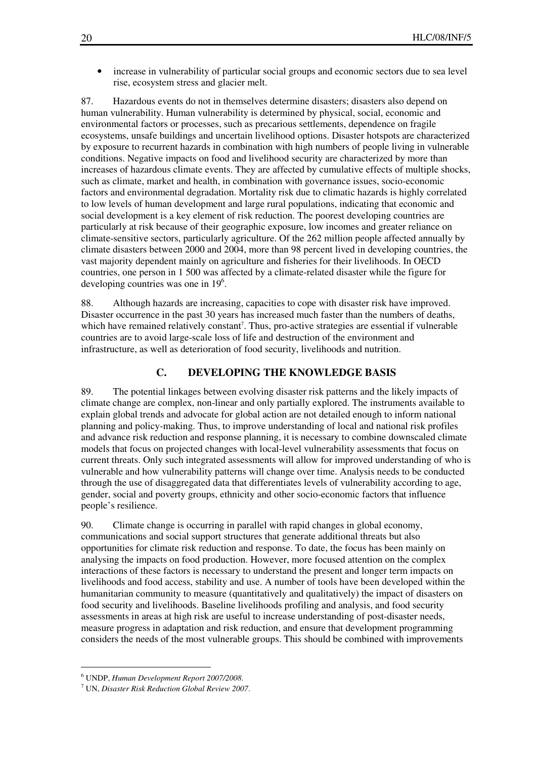• increase in vulnerability of particular social groups and economic sectors due to sea level rise, ecosystem stress and glacier melt.

87. Hazardous events do not in themselves determine disasters; disasters also depend on human vulnerability. Human vulnerability is determined by physical, social, economic and environmental factors or processes, such as precarious settlements, dependence on fragile ecosystems, unsafe buildings and uncertain livelihood options. Disaster hotspots are characterized by exposure to recurrent hazards in combination with high numbers of people living in vulnerable conditions. Negative impacts on food and livelihood security are characterized by more than increases of hazardous climate events. They are affected by cumulative effects of multiple shocks, such as climate, market and health, in combination with governance issues, socio-economic factors and environmental degradation. Mortality risk due to climatic hazards is highly correlated to low levels of human development and large rural populations, indicating that economic and social development is a key element of risk reduction. The poorest developing countries are particularly at risk because of their geographic exposure, low incomes and greater reliance on climate-sensitive sectors, particularly agriculture. Of the 262 million people affected annually by climate disasters between 2000 and 2004, more than 98 percent lived in developing countries, the vast majority dependent mainly on agriculture and fisheries for their livelihoods. In OECD countries, one person in 1 500 was affected by a climate-related disaster while the figure for developing countries was one in  $19<sup>6</sup>$ .

88. Although hazards are increasing, capacities to cope with disaster risk have improved. Disaster occurrence in the past 30 years has increased much faster than the numbers of deaths, which have remained relatively constant<sup>7</sup>. Thus, pro-active strategies are essential if vulnerable countries are to avoid large-scale loss of life and destruction of the environment and infrastructure, as well as deterioration of food security, livelihoods and nutrition.

#### **C. DEVELOPING THE KNOWLEDGE BASIS**

89. The potential linkages between evolving disaster risk patterns and the likely impacts of climate change are complex, non-linear and only partially explored. The instruments available to explain global trends and advocate for global action are not detailed enough to inform national planning and policy-making. Thus, to improve understanding of local and national risk profiles and advance risk reduction and response planning, it is necessary to combine downscaled climate models that focus on projected changes with local-level vulnerability assessments that focus on current threats. Only such integrated assessments will allow for improved understanding of who is vulnerable and how vulnerability patterns will change over time. Analysis needs to be conducted through the use of disaggregated data that differentiates levels of vulnerability according to age, gender, social and poverty groups, ethnicity and other socio-economic factors that influence people's resilience.

90. Climate change is occurring in parallel with rapid changes in global economy, communications and social support structures that generate additional threats but also opportunities for climate risk reduction and response. To date, the focus has been mainly on analysing the impacts on food production. However, more focused attention on the complex interactions of these factors is necessary to understand the present and longer term impacts on livelihoods and food access, stability and use. A number of tools have been developed within the humanitarian community to measure (quantitatively and qualitatively) the impact of disasters on food security and livelihoods. Baseline livelihoods profiling and analysis, and food security assessments in areas at high risk are useful to increase understanding of post-disaster needs, measure progress in adaptation and risk reduction, and ensure that development programming considers the needs of the most vulnerable groups. This should be combined with improvements

 $\overline{a}$ 

<sup>6</sup> UNDP, *Human Development Report 2007/2008*.

<sup>7</sup> UN, *Disaster Risk Reduction Global Review 2007*.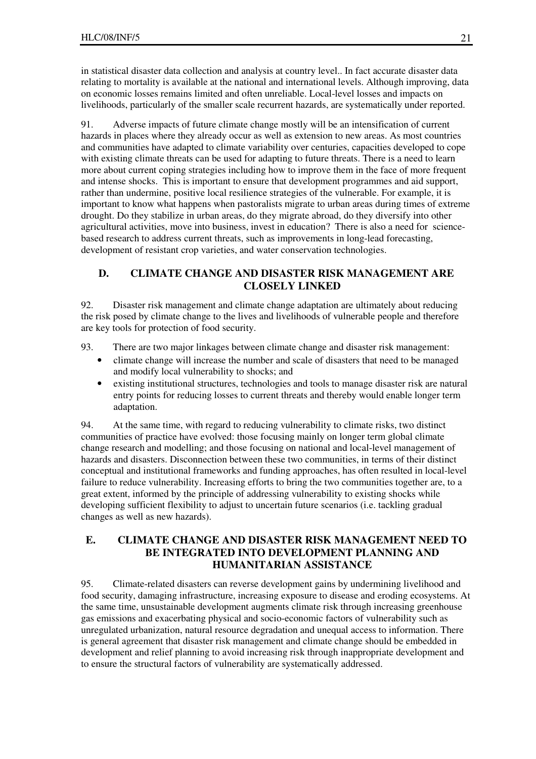in statistical disaster data collection and analysis at country level.. In fact accurate disaster data relating to mortality is available at the national and international levels. Although improving, data on economic losses remains limited and often unreliable. Local-level losses and impacts on livelihoods, particularly of the smaller scale recurrent hazards, are systematically under reported.

91. Adverse impacts of future climate change mostly will be an intensification of current hazards in places where they already occur as well as extension to new areas. As most countries and communities have adapted to climate variability over centuries, capacities developed to cope with existing climate threats can be used for adapting to future threats. There is a need to learn more about current coping strategies including how to improve them in the face of more frequent and intense shocks. This is important to ensure that development programmes and aid support, rather than undermine, positive local resilience strategies of the vulnerable. For example, it is important to know what happens when pastoralists migrate to urban areas during times of extreme drought. Do they stabilize in urban areas, do they migrate abroad, do they diversify into other agricultural activities, move into business, invest in education? There is also a need for sciencebased research to address current threats, such as improvements in long-lead forecasting, development of resistant crop varieties, and water conservation technologies.

### **D. CLIMATE CHANGE AND DISASTER RISK MANAGEMENT ARE CLOSELY LINKED**

92. Disaster risk management and climate change adaptation are ultimately about reducing the risk posed by climate change to the lives and livelihoods of vulnerable people and therefore are key tools for protection of food security.

93. There are two major linkages between climate change and disaster risk management:

- climate change will increase the number and scale of disasters that need to be managed and modify local vulnerability to shocks; and
- existing institutional structures, technologies and tools to manage disaster risk are natural entry points for reducing losses to current threats and thereby would enable longer term adaptation.

94. At the same time, with regard to reducing vulnerability to climate risks, two distinct communities of practice have evolved: those focusing mainly on longer term global climate change research and modelling; and those focusing on national and local-level management of hazards and disasters. Disconnection between these two communities, in terms of their distinct conceptual and institutional frameworks and funding approaches, has often resulted in local-level failure to reduce vulnerability. Increasing efforts to bring the two communities together are, to a great extent, informed by the principle of addressing vulnerability to existing shocks while developing sufficient flexibility to adjust to uncertain future scenarios (i.e. tackling gradual changes as well as new hazards).

### **E. CLIMATE CHANGE AND DISASTER RISK MANAGEMENT NEED TO BE INTEGRATED INTO DEVELOPMENT PLANNING AND HUMANITARIAN ASSISTANCE**

95. Climate-related disasters can reverse development gains by undermining livelihood and food security, damaging infrastructure, increasing exposure to disease and eroding ecosystems. At the same time, unsustainable development augments climate risk through increasing greenhouse gas emissions and exacerbating physical and socio-economic factors of vulnerability such as unregulated urbanization, natural resource degradation and unequal access to information. There is general agreement that disaster risk management and climate change should be embedded in development and relief planning to avoid increasing risk through inappropriate development and to ensure the structural factors of vulnerability are systematically addressed.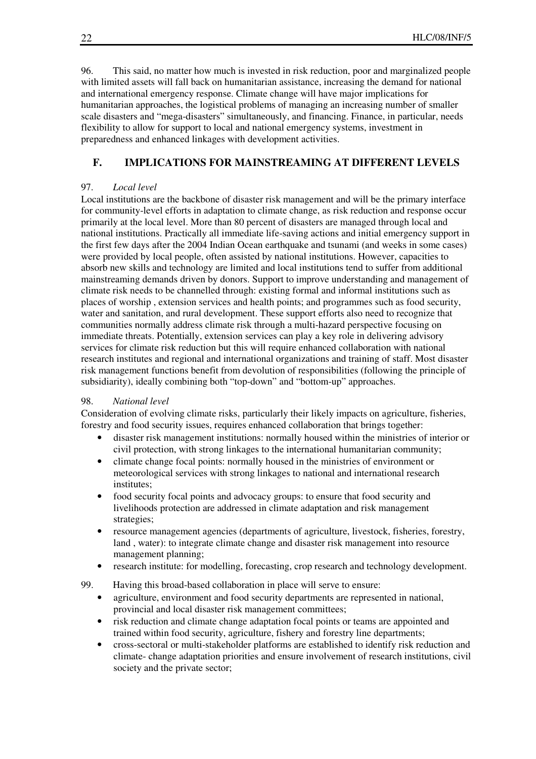96. This said, no matter how much is invested in risk reduction, poor and marginalized people with limited assets will fall back on humanitarian assistance, increasing the demand for national and international emergency response. Climate change will have major implications for humanitarian approaches, the logistical problems of managing an increasing number of smaller scale disasters and "mega-disasters" simultaneously, and financing. Finance, in particular, needs flexibility to allow for support to local and national emergency systems, investment in preparedness and enhanced linkages with development activities.

### **F. IMPLICATIONS FOR MAINSTREAMING AT DIFFERENT LEVELS**

#### 97. *Local level*

Local institutions are the backbone of disaster risk management and will be the primary interface for community-level efforts in adaptation to climate change, as risk reduction and response occur primarily at the local level. More than 80 percent of disasters are managed through local and national institutions. Practically all immediate life-saving actions and initial emergency support in the first few days after the 2004 Indian Ocean earthquake and tsunami (and weeks in some cases) were provided by local people, often assisted by national institutions. However, capacities to absorb new skills and technology are limited and local institutions tend to suffer from additional mainstreaming demands driven by donors. Support to improve understanding and management of climate risk needs to be channelled through: existing formal and informal institutions such as places of worship , extension services and health points; and programmes such as food security, water and sanitation, and rural development. These support efforts also need to recognize that communities normally address climate risk through a multi-hazard perspective focusing on immediate threats. Potentially, extension services can play a key role in delivering advisory services for climate risk reduction but this will require enhanced collaboration with national research institutes and regional and international organizations and training of staff. Most disaster risk management functions benefit from devolution of responsibilities (following the principle of subsidiarity), ideally combining both "top-down" and "bottom-up" approaches.

#### 98. *National level*

Consideration of evolving climate risks, particularly their likely impacts on agriculture, fisheries, forestry and food security issues, requires enhanced collaboration that brings together:

- disaster risk management institutions: normally housed within the ministries of interior or civil protection, with strong linkages to the international humanitarian community;
- climate change focal points: normally housed in the ministries of environment or meteorological services with strong linkages to national and international research institutes;
- food security focal points and advocacy groups: to ensure that food security and livelihoods protection are addressed in climate adaptation and risk management strategies;
- resource management agencies (departments of agriculture, livestock, fisheries, forestry, land , water): to integrate climate change and disaster risk management into resource management planning;
- research institute: for modelling, forecasting, crop research and technology development.
- 99. Having this broad-based collaboration in place will serve to ensure:
	- agriculture, environment and food security departments are represented in national, provincial and local disaster risk management committees;
	- risk reduction and climate change adaptation focal points or teams are appointed and trained within food security, agriculture, fishery and forestry line departments;
	- cross-sectoral or multi-stakeholder platforms are established to identify risk reduction and climate- change adaptation priorities and ensure involvement of research institutions, civil society and the private sector;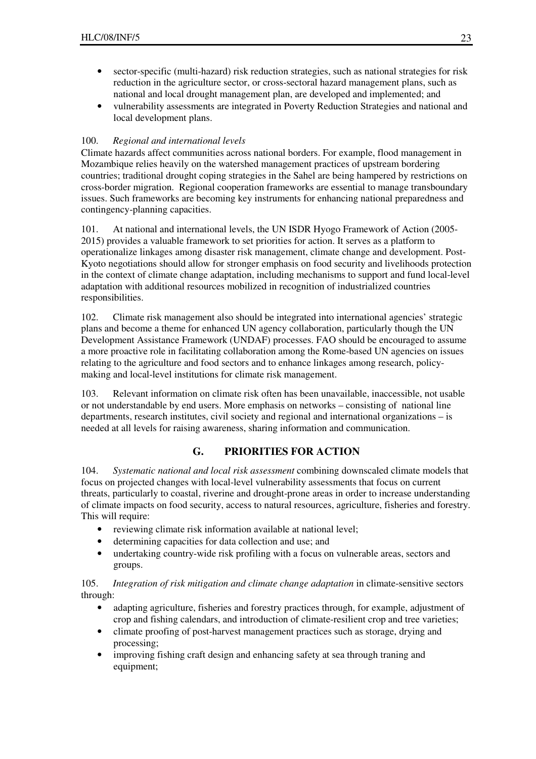- sector-specific (multi-hazard) risk reduction strategies, such as national strategies for risk reduction in the agriculture sector, or cross-sectoral hazard management plans, such as national and local drought management plan, are developed and implemented; and
- vulnerability assessments are integrated in Poverty Reduction Strategies and national and local development plans.

#### 100. *Regional and international levels*

Climate hazards affect communities across national borders. For example, flood management in Mozambique relies heavily on the watershed management practices of upstream bordering countries; traditional drought coping strategies in the Sahel are being hampered by restrictions on cross-border migration. Regional cooperation frameworks are essential to manage transboundary issues. Such frameworks are becoming key instruments for enhancing national preparedness and contingency-planning capacities.

101. At national and international levels, the UN ISDR Hyogo Framework of Action (2005- 2015) provides a valuable framework to set priorities for action. It serves as a platform to operationalize linkages among disaster risk management, climate change and development. Post-Kyoto negotiations should allow for stronger emphasis on food security and livelihoods protection in the context of climate change adaptation, including mechanisms to support and fund local-level adaptation with additional resources mobilized in recognition of industrialized countries responsibilities.

102. Climate risk management also should be integrated into international agencies' strategic plans and become a theme for enhanced UN agency collaboration, particularly though the UN Development Assistance Framework (UNDAF) processes. FAO should be encouraged to assume a more proactive role in facilitating collaboration among the Rome-based UN agencies on issues relating to the agriculture and food sectors and to enhance linkages among research, policymaking and local-level institutions for climate risk management.

103. Relevant information on climate risk often has been unavailable, inaccessible, not usable or not understandable by end users. More emphasis on networks – consisting of national line departments, research institutes, civil society and regional and international organizations – is needed at all levels for raising awareness, sharing information and communication.

### **G. PRIORITIES FOR ACTION**

104. *Systematic national and local risk assessment* combining downscaled climate models that focus on projected changes with local-level vulnerability assessments that focus on current threats, particularly to coastal, riverine and drought-prone areas in order to increase understanding of climate impacts on food security, access to natural resources, agriculture, fisheries and forestry. This will require:

- reviewing climate risk information available at national level;
- determining capacities for data collection and use; and
- undertaking country-wide risk profiling with a focus on vulnerable areas, sectors and groups.

105. *Integration of risk mitigation and climate change adaptation* in climate-sensitive sectors through:

- adapting agriculture, fisheries and forestry practices through, for example, adjustment of crop and fishing calendars, and introduction of climate-resilient crop and tree varieties;
- climate proofing of post-harvest management practices such as storage, drying and processing;
- improving fishing craft design and enhancing safety at sea through traning and equipment;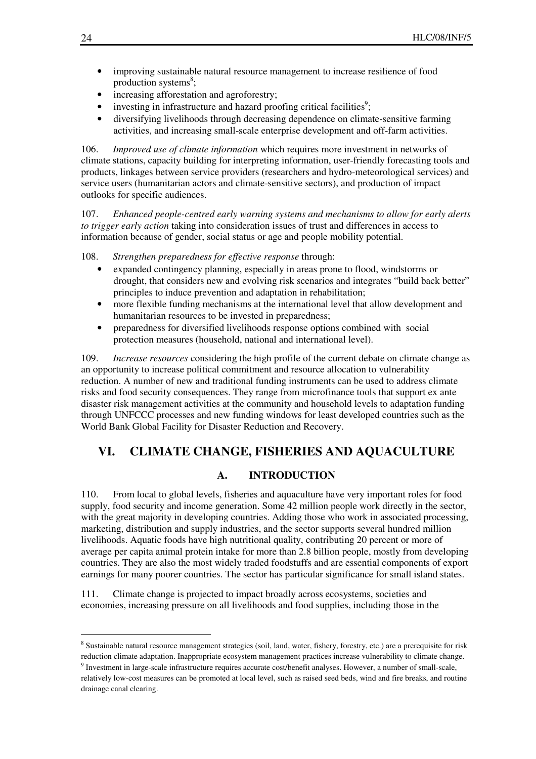- improving sustainable natural resource management to increase resilience of food production systems<sup>8</sup>;
- increasing afforestation and agroforestry;
- $\bullet$  investing in infrastructure and hazard proofing critical facilities<sup>9</sup>;
- diversifying livelihoods through decreasing dependence on climate-sensitive farming activities, and increasing small-scale enterprise development and off-farm activities.

106. *Improved use of climate information* which requires more investment in networks of climate stations, capacity building for interpreting information, user-friendly forecasting tools and products, linkages between service providers (researchers and hydro-meteorological services) and service users (humanitarian actors and climate-sensitive sectors), and production of impact outlooks for specific audiences.

107. *Enhanced people-centred early warning systems and mechanisms to allow for early alerts to trigger early action* taking into consideration issues of trust and differences in access to information because of gender, social status or age and people mobility potential.

108. *Strengthen preparedness for effective response* through:

- expanded contingency planning, especially in areas prone to flood, windstorms or drought, that considers new and evolving risk scenarios and integrates "build back better" principles to induce prevention and adaptation in rehabilitation;
- more flexible funding mechanisms at the international level that allow development and humanitarian resources to be invested in preparedness;
- preparedness for diversified livelihoods response options combined with social protection measures (household, national and international level).

109. *Increase resources* considering the high profile of the current debate on climate change as an opportunity to increase political commitment and resource allocation to vulnerability reduction. A number of new and traditional funding instruments can be used to address climate risks and food security consequences. They range from microfinance tools that support ex ante disaster risk management activities at the community and household levels to adaptation funding through UNFCCC processes and new funding windows for least developed countries such as the World Bank Global Facility for Disaster Reduction and Recovery.

# **VI. CLIMATE CHANGE, FISHERIES AND AQUACULTURE**

#### **A. INTRODUCTION**

110. From local to global levels, fisheries and aquaculture have very important roles for food supply, food security and income generation. Some 42 million people work directly in the sector, with the great majority in developing countries. Adding those who work in associated processing, marketing, distribution and supply industries, and the sector supports several hundred million livelihoods. Aquatic foods have high nutritional quality, contributing 20 percent or more of average per capita animal protein intake for more than 2.8 billion people, mostly from developing countries. They are also the most widely traded foodstuffs and are essential components of export earnings for many poorer countries. The sector has particular significance for small island states.

111. Climate change is projected to impact broadly across ecosystems, societies and economies, increasing pressure on all livelihoods and food supplies, including those in the

 $\overline{a}$ 

<sup>&</sup>lt;sup>8</sup> Sustainable natural resource management strategies (soil, land, water, fishery, forestry, etc.) are a prerequisite for risk reduction climate adaptation. Inappropriate ecosystem management practices increase vulnerability to climate change.

 $9$  Investment in large-scale infrastructure requires accurate cost/benefit analyses. However, a number of small-scale, relatively low-cost measures can be promoted at local level, such as raised seed beds, wind and fire breaks, and routine drainage canal clearing.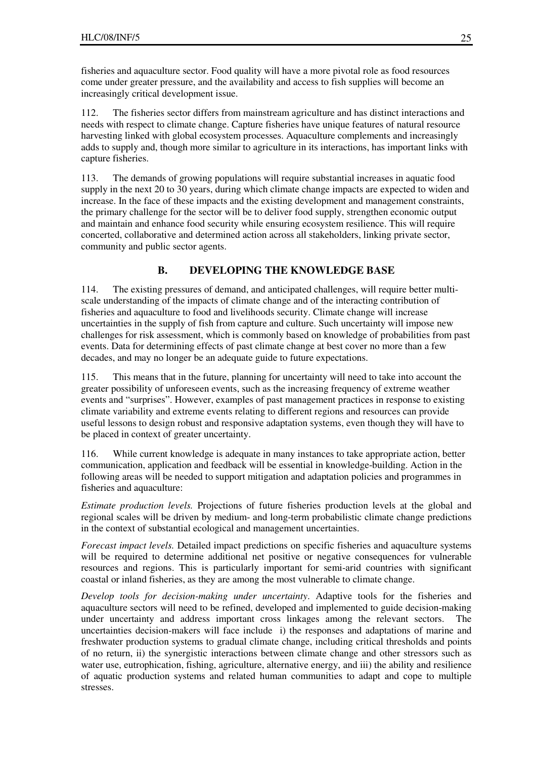fisheries and aquaculture sector. Food quality will have a more pivotal role as food resources come under greater pressure, and the availability and access to fish supplies will become an increasingly critical development issue.

112. The fisheries sector differs from mainstream agriculture and has distinct interactions and needs with respect to climate change. Capture fisheries have unique features of natural resource harvesting linked with global ecosystem processes. Aquaculture complements and increasingly adds to supply and, though more similar to agriculture in its interactions, has important links with capture fisheries.

113. The demands of growing populations will require substantial increases in aquatic food supply in the next 20 to 30 years, during which climate change impacts are expected to widen and increase. In the face of these impacts and the existing development and management constraints, the primary challenge for the sector will be to deliver food supply, strengthen economic output and maintain and enhance food security while ensuring ecosystem resilience. This will require concerted, collaborative and determined action across all stakeholders, linking private sector, community and public sector agents.

### **B. DEVELOPING THE KNOWLEDGE BASE**

114. The existing pressures of demand, and anticipated challenges, will require better multiscale understanding of the impacts of climate change and of the interacting contribution of fisheries and aquaculture to food and livelihoods security. Climate change will increase uncertainties in the supply of fish from capture and culture. Such uncertainty will impose new challenges for risk assessment, which is commonly based on knowledge of probabilities from past events. Data for determining effects of past climate change at best cover no more than a few decades, and may no longer be an adequate guide to future expectations.

115. This means that in the future, planning for uncertainty will need to take into account the greater possibility of unforeseen events, such as the increasing frequency of extreme weather events and "surprises". However, examples of past management practices in response to existing climate variability and extreme events relating to different regions and resources can provide useful lessons to design robust and responsive adaptation systems, even though they will have to be placed in context of greater uncertainty.

116. While current knowledge is adequate in many instances to take appropriate action, better communication, application and feedback will be essential in knowledge-building. Action in the following areas will be needed to support mitigation and adaptation policies and programmes in fisheries and aquaculture:

*Estimate production levels.* Projections of future fisheries production levels at the global and regional scales will be driven by medium- and long-term probabilistic climate change predictions in the context of substantial ecological and management uncertainties.

*Forecast impact levels.* Detailed impact predictions on specific fisheries and aquaculture systems will be required to determine additional net positive or negative consequences for vulnerable resources and regions. This is particularly important for semi-arid countries with significant coastal or inland fisheries, as they are among the most vulnerable to climate change.

*Develop tools for decision-making under uncertainty*. Adaptive tools for the fisheries and aquaculture sectors will need to be refined, developed and implemented to guide decision-making under uncertainty and address important cross linkages among the relevant sectors. The uncertainties decision-makers will face include i) the responses and adaptations of marine and freshwater production systems to gradual climate change, including critical thresholds and points of no return, ii) the synergistic interactions between climate change and other stressors such as water use, eutrophication, fishing, agriculture, alternative energy, and iii) the ability and resilience of aquatic production systems and related human communities to adapt and cope to multiple stresses.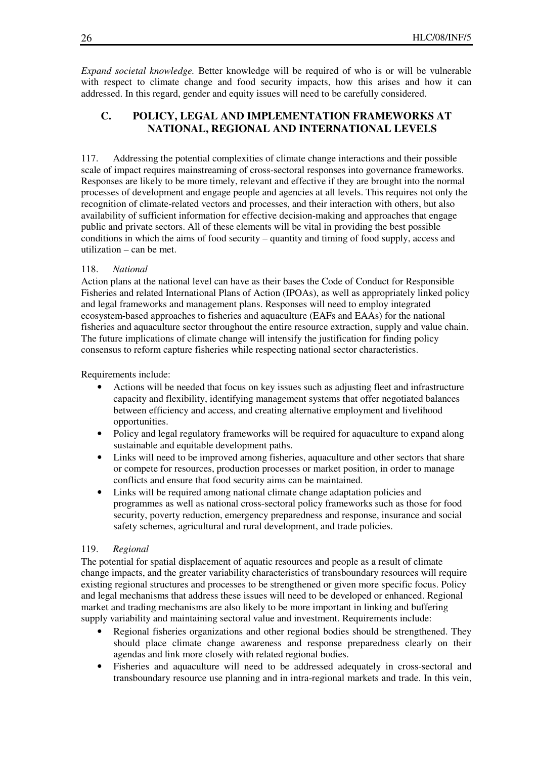*Expand societal knowledge.* Better knowledge will be required of who is or will be vulnerable with respect to climate change and food security impacts, how this arises and how it can addressed. In this regard, gender and equity issues will need to be carefully considered.

### **C. POLICY, LEGAL AND IMPLEMENTATION FRAMEWORKS AT NATIONAL, REGIONAL AND INTERNATIONAL LEVELS**

117. Addressing the potential complexities of climate change interactions and their possible scale of impact requires mainstreaming of cross-sectoral responses into governance frameworks. Responses are likely to be more timely, relevant and effective if they are brought into the normal processes of development and engage people and agencies at all levels. This requires not only the recognition of climate-related vectors and processes, and their interaction with others, but also availability of sufficient information for effective decision-making and approaches that engage public and private sectors. All of these elements will be vital in providing the best possible conditions in which the aims of food security – quantity and timing of food supply, access and utilization – can be met.

#### 118. *National*

Action plans at the national level can have as their bases the Code of Conduct for Responsible Fisheries and related International Plans of Action (IPOAs), as well as appropriately linked policy and legal frameworks and management plans. Responses will need to employ integrated ecosystem-based approaches to fisheries and aquaculture (EAFs and EAAs) for the national fisheries and aquaculture sector throughout the entire resource extraction, supply and value chain. The future implications of climate change will intensify the justification for finding policy consensus to reform capture fisheries while respecting national sector characteristics.

Requirements include:

- Actions will be needed that focus on key issues such as adjusting fleet and infrastructure capacity and flexibility, identifying management systems that offer negotiated balances between efficiency and access, and creating alternative employment and livelihood opportunities.
- Policy and legal regulatory frameworks will be required for aquaculture to expand along sustainable and equitable development paths.
- Links will need to be improved among fisheries, aquaculture and other sectors that share or compete for resources, production processes or market position, in order to manage conflicts and ensure that food security aims can be maintained.
- Links will be required among national climate change adaptation policies and programmes as well as national cross-sectoral policy frameworks such as those for food security, poverty reduction, emergency preparedness and response, insurance and social safety schemes, agricultural and rural development, and trade policies.

#### 119. *Regional*

The potential for spatial displacement of aquatic resources and people as a result of climate change impacts, and the greater variability characteristics of transboundary resources will require existing regional structures and processes to be strengthened or given more specific focus. Policy and legal mechanisms that address these issues will need to be developed or enhanced. Regional market and trading mechanisms are also likely to be more important in linking and buffering supply variability and maintaining sectoral value and investment. Requirements include:

- Regional fisheries organizations and other regional bodies should be strengthened. They should place climate change awareness and response preparedness clearly on their agendas and link more closely with related regional bodies.
- Fisheries and aquaculture will need to be addressed adequately in cross-sectoral and transboundary resource use planning and in intra-regional markets and trade. In this vein,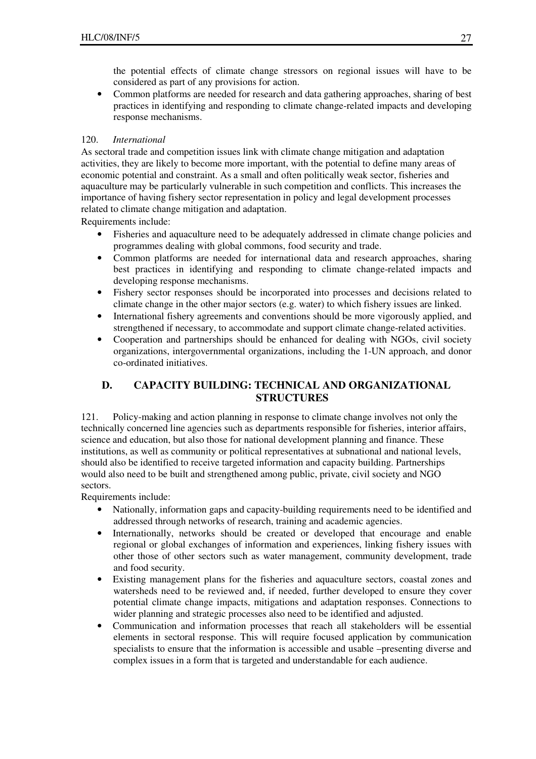the potential effects of climate change stressors on regional issues will have to be considered as part of any provisions for action.

• Common platforms are needed for research and data gathering approaches, sharing of best practices in identifying and responding to climate change-related impacts and developing response mechanisms.

#### 120. *International*

As sectoral trade and competition issues link with climate change mitigation and adaptation activities, they are likely to become more important, with the potential to define many areas of economic potential and constraint. As a small and often politically weak sector, fisheries and aquaculture may be particularly vulnerable in such competition and conflicts. This increases the importance of having fishery sector representation in policy and legal development processes related to climate change mitigation and adaptation.

Requirements include:

- Fisheries and aquaculture need to be adequately addressed in climate change policies and programmes dealing with global commons, food security and trade.
- Common platforms are needed for international data and research approaches, sharing best practices in identifying and responding to climate change-related impacts and developing response mechanisms.
- Fishery sector responses should be incorporated into processes and decisions related to climate change in the other major sectors (e.g. water) to which fishery issues are linked.
- International fishery agreements and conventions should be more vigorously applied, and strengthened if necessary, to accommodate and support climate change-related activities.
- Cooperation and partnerships should be enhanced for dealing with NGOs, civil society organizations, intergovernmental organizations, including the 1-UN approach, and donor co-ordinated initiatives.

### **D. CAPACITY BUILDING: TECHNICAL AND ORGANIZATIONAL STRUCTURES**

121. Policy-making and action planning in response to climate change involves not only the technically concerned line agencies such as departments responsible for fisheries, interior affairs, science and education, but also those for national development planning and finance. These institutions, as well as community or political representatives at subnational and national levels, should also be identified to receive targeted information and capacity building. Partnerships would also need to be built and strengthened among public, private, civil society and NGO sectors.

Requirements include:

- Nationally, information gaps and capacity-building requirements need to be identified and addressed through networks of research, training and academic agencies.
- Internationally, networks should be created or developed that encourage and enable regional or global exchanges of information and experiences, linking fishery issues with other those of other sectors such as water management, community development, trade and food security.
- Existing management plans for the fisheries and aquaculture sectors, coastal zones and watersheds need to be reviewed and, if needed, further developed to ensure they cover potential climate change impacts, mitigations and adaptation responses. Connections to wider planning and strategic processes also need to be identified and adjusted.
- Communication and information processes that reach all stakeholders will be essential elements in sectoral response. This will require focused application by communication specialists to ensure that the information is accessible and usable –presenting diverse and complex issues in a form that is targeted and understandable for each audience.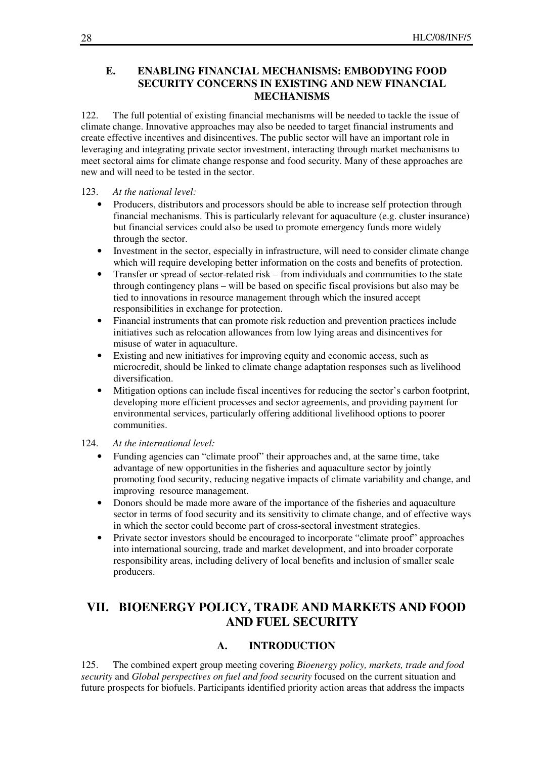### **E. ENABLING FINANCIAL MECHANISMS: EMBODYING FOOD SECURITY CONCERNS IN EXISTING AND NEW FINANCIAL MECHANISMS**

122. The full potential of existing financial mechanisms will be needed to tackle the issue of climate change. Innovative approaches may also be needed to target financial instruments and create effective incentives and disincentives. The public sector will have an important role in leveraging and integrating private sector investment, interacting through market mechanisms to meet sectoral aims for climate change response and food security. Many of these approaches are new and will need to be tested in the sector.

#### 123. *At the national level:*

- Producers, distributors and processors should be able to increase self protection through financial mechanisms. This is particularly relevant for aquaculture (e.g. cluster insurance) but financial services could also be used to promote emergency funds more widely through the sector.
- Investment in the sector, especially in infrastructure, will need to consider climate change which will require developing better information on the costs and benefits of protection.
- Transfer or spread of sector-related risk from individuals and communities to the state through contingency plans – will be based on specific fiscal provisions but also may be tied to innovations in resource management through which the insured accept responsibilities in exchange for protection.
- Financial instruments that can promote risk reduction and prevention practices include initiatives such as relocation allowances from low lying areas and disincentives for misuse of water in aquaculture.
- Existing and new initiatives for improving equity and economic access, such as microcredit, should be linked to climate change adaptation responses such as livelihood diversification.
- Mitigation options can include fiscal incentives for reducing the sector's carbon footprint, developing more efficient processes and sector agreements, and providing payment for environmental services, particularly offering additional livelihood options to poorer communities.

#### 124. *At the international level:*

- Funding agencies can "climate proof" their approaches and, at the same time, take advantage of new opportunities in the fisheries and aquaculture sector by jointly promoting food security, reducing negative impacts of climate variability and change, and improving resource management.
- Donors should be made more aware of the importance of the fisheries and aquaculture sector in terms of food security and its sensitivity to climate change, and of effective ways in which the sector could become part of cross-sectoral investment strategies.
- Private sector investors should be encouraged to incorporate "climate proof" approaches into international sourcing, trade and market development, and into broader corporate responsibility areas, including delivery of local benefits and inclusion of smaller scale producers.

# **VII. BIOENERGY POLICY, TRADE AND MARKETS AND FOOD AND FUEL SECURITY**

#### **A. INTRODUCTION**

125. The combined expert group meeting covering *Bioenergy policy, markets, trade and food security* and *Global perspectives on fuel and food security* focused on the current situation and future prospects for biofuels. Participants identified priority action areas that address the impacts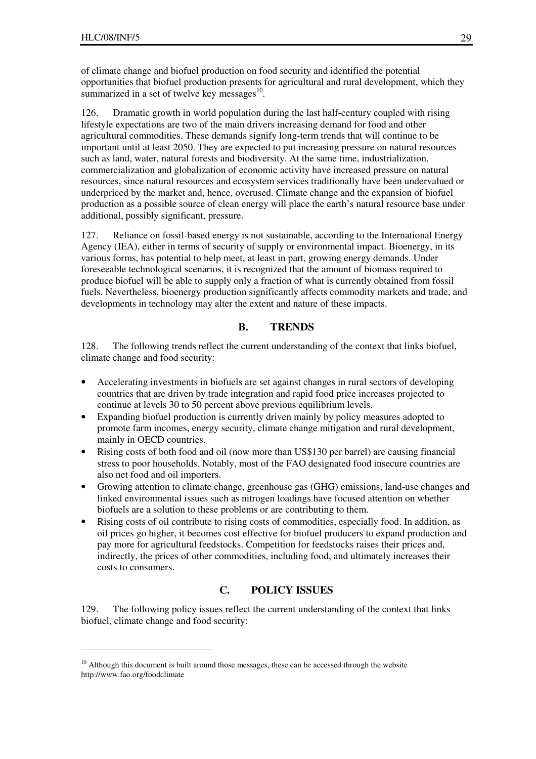$\overline{a}$ 

of climate change and biofuel production on food security and identified the potential opportunities that biofuel production presents for agricultural and rural development, which they summarized in a set of twelve key messages $10$ .

126. Dramatic growth in world population during the last half-century coupled with rising lifestyle expectations are two of the main drivers increasing demand for food and other agricultural commodities. These demands signify long-term trends that will continue to be important until at least 2050. They are expected to put increasing pressure on natural resources such as land, water, natural forests and biodiversity. At the same time, industrialization, commercialization and globalization of economic activity have increased pressure on natural resources, since natural resources and ecosystem services traditionally have been undervalued or underpriced by the market and, hence, overused. Climate change and the expansion of biofuel production as a possible source of clean energy will place the earth's natural resource base under additional, possibly significant, pressure.

127. Reliance on fossil-based energy is not sustainable, according to the International Energy Agency (IEA), either in terms of security of supply or environmental impact. Bioenergy, in its various forms, has potential to help meet, at least in part, growing energy demands. Under foreseeable technological scenarios, it is recognized that the amount of biomass required to produce biofuel will be able to supply only a fraction of what is currently obtained from fossil fuels. Nevertheless, bioenergy production significantly affects commodity markets and trade, and developments in technology may alter the extent and nature of these impacts.

### **B. TRENDS**

128. The following trends reflect the current understanding of the context that links biofuel, climate change and food security:

- Accelerating investments in biofuels are set against changes in rural sectors of developing countries that are driven by trade integration and rapid food price increases projected to continue at levels 30 to 50 percent above previous equilibrium levels.
- Expanding biofuel production is currently driven mainly by policy measures adopted to promote farm incomes, energy security, climate change mitigation and rural development, mainly in OECD countries.
- Rising costs of both food and oil (now more than US\$130 per barrel) are causing financial stress to poor households. Notably, most of the FAO designated food insecure countries are also net food and oil importers.
- Growing attention to climate change, greenhouse gas (GHG) emissions, land-use changes and linked environmental issues such as nitrogen loadings have focused attention on whether biofuels are a solution to these problems or are contributing to them.
- Rising costs of oil contribute to rising costs of commodities, especially food. In addition, as oil prices go higher, it becomes cost effective for biofuel producers to expand production and pay more for agricultural feedstocks. Competition for feedstocks raises their prices and, indirectly, the prices of other commodities, including food, and ultimately increases their costs to consumers.

### **C. POLICY ISSUES**

129. The following policy issues reflect the current understanding of the context that links biofuel, climate change and food security:

 $10$  Although this document is built around those messages, these can be accessed through the website http://www.fao.org/foodclimate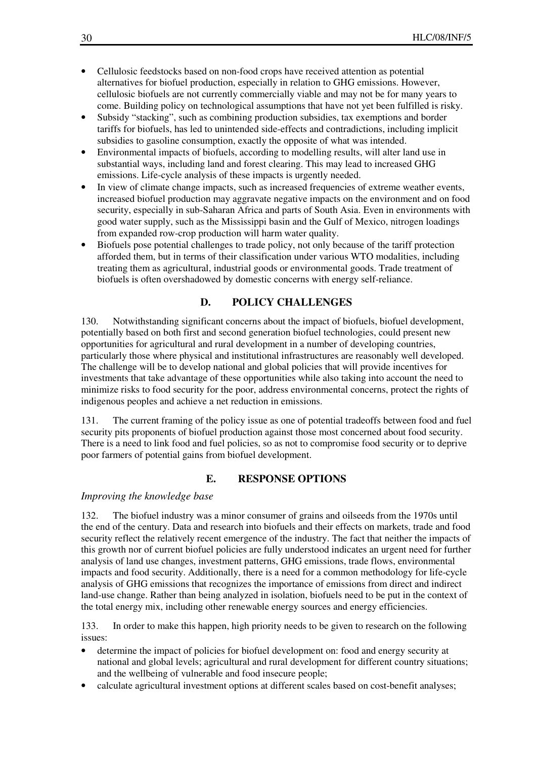- Cellulosic feedstocks based on non-food crops have received attention as potential alternatives for biofuel production, especially in relation to GHG emissions. However, cellulosic biofuels are not currently commercially viable and may not be for many years to come. Building policy on technological assumptions that have not yet been fulfilled is risky.
- Subsidy "stacking", such as combining production subsidies, tax exemptions and border tariffs for biofuels, has led to unintended side-effects and contradictions, including implicit subsidies to gasoline consumption, exactly the opposite of what was intended.
- Environmental impacts of biofuels, according to modelling results, will alter land use in substantial ways, including land and forest clearing. This may lead to increased GHG emissions. Life-cycle analysis of these impacts is urgently needed.
- In view of climate change impacts, such as increased frequencies of extreme weather events, increased biofuel production may aggravate negative impacts on the environment and on food security, especially in sub-Saharan Africa and parts of South Asia. Even in environments with good water supply, such as the Mississippi basin and the Gulf of Mexico, nitrogen loadings from expanded row-crop production will harm water quality.
- Biofuels pose potential challenges to trade policy, not only because of the tariff protection afforded them, but in terms of their classification under various WTO modalities, including treating them as agricultural, industrial goods or environmental goods. Trade treatment of biofuels is often overshadowed by domestic concerns with energy self-reliance.

### **D. POLICY CHALLENGES**

130. Notwithstanding significant concerns about the impact of biofuels, biofuel development, potentially based on both first and second generation biofuel technologies, could present new opportunities for agricultural and rural development in a number of developing countries, particularly those where physical and institutional infrastructures are reasonably well developed. The challenge will be to develop national and global policies that will provide incentives for investments that take advantage of these opportunities while also taking into account the need to minimize risks to food security for the poor, address environmental concerns, protect the rights of indigenous peoples and achieve a net reduction in emissions.

131. The current framing of the policy issue as one of potential tradeoffs between food and fuel security pits proponents of biofuel production against those most concerned about food security. There is a need to link food and fuel policies, so as not to compromise food security or to deprive poor farmers of potential gains from biofuel development.

### **E. RESPONSE OPTIONS**

#### *Improving the knowledge base*

132. The biofuel industry was a minor consumer of grains and oilseeds from the 1970s until the end of the century. Data and research into biofuels and their effects on markets, trade and food security reflect the relatively recent emergence of the industry. The fact that neither the impacts of this growth nor of current biofuel policies are fully understood indicates an urgent need for further analysis of land use changes, investment patterns, GHG emissions, trade flows, environmental impacts and food security. Additionally, there is a need for a common methodology for life-cycle analysis of GHG emissions that recognizes the importance of emissions from direct and indirect land-use change. Rather than being analyzed in isolation, biofuels need to be put in the context of the total energy mix, including other renewable energy sources and energy efficiencies.

133. In order to make this happen, high priority needs to be given to research on the following issues:

- determine the impact of policies for biofuel development on: food and energy security at national and global levels; agricultural and rural development for different country situations; and the wellbeing of vulnerable and food insecure people;
- calculate agricultural investment options at different scales based on cost-benefit analyses;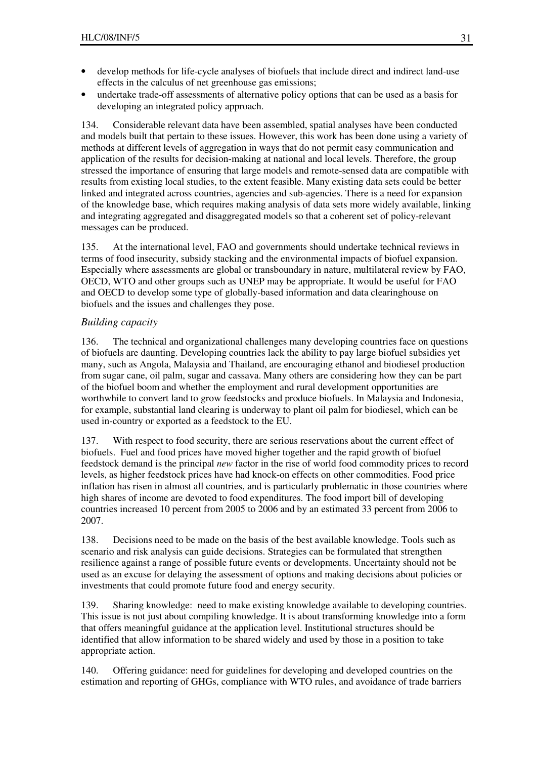- develop methods for life-cycle analyses of biofuels that include direct and indirect land-use effects in the calculus of net greenhouse gas emissions;
- undertake trade-off assessments of alternative policy options that can be used as a basis for developing an integrated policy approach.

134. Considerable relevant data have been assembled, spatial analyses have been conducted and models built that pertain to these issues. However, this work has been done using a variety of methods at different levels of aggregation in ways that do not permit easy communication and application of the results for decision-making at national and local levels. Therefore, the group stressed the importance of ensuring that large models and remote-sensed data are compatible with results from existing local studies, to the extent feasible. Many existing data sets could be better linked and integrated across countries, agencies and sub-agencies. There is a need for expansion of the knowledge base, which requires making analysis of data sets more widely available, linking and integrating aggregated and disaggregated models so that a coherent set of policy-relevant messages can be produced.

135. At the international level, FAO and governments should undertake technical reviews in terms of food insecurity, subsidy stacking and the environmental impacts of biofuel expansion. Especially where assessments are global or transboundary in nature, multilateral review by FAO, OECD, WTO and other groups such as UNEP may be appropriate. It would be useful for FAO and OECD to develop some type of globally-based information and data clearinghouse on biofuels and the issues and challenges they pose.

#### *Building capacity*

136. The technical and organizational challenges many developing countries face on questions of biofuels are daunting. Developing countries lack the ability to pay large biofuel subsidies yet many, such as Angola, Malaysia and Thailand, are encouraging ethanol and biodiesel production from sugar cane, oil palm, sugar and cassava. Many others are considering how they can be part of the biofuel boom and whether the employment and rural development opportunities are worthwhile to convert land to grow feedstocks and produce biofuels. In Malaysia and Indonesia, for example, substantial land clearing is underway to plant oil palm for biodiesel, which can be used in-country or exported as a feedstock to the EU.

137. With respect to food security, there are serious reservations about the current effect of biofuels. Fuel and food prices have moved higher together and the rapid growth of biofuel feedstock demand is the principal *new* factor in the rise of world food commodity prices to record levels, as higher feedstock prices have had knock-on effects on other commodities. Food price inflation has risen in almost all countries, and is particularly problematic in those countries where high shares of income are devoted to food expenditures. The food import bill of developing countries increased 10 percent from 2005 to 2006 and by an estimated 33 percent from 2006 to 2007.

138. Decisions need to be made on the basis of the best available knowledge. Tools such as scenario and risk analysis can guide decisions. Strategies can be formulated that strengthen resilience against a range of possible future events or developments. Uncertainty should not be used as an excuse for delaying the assessment of options and making decisions about policies or investments that could promote future food and energy security.

139. Sharing knowledge: need to make existing knowledge available to developing countries. This issue is not just about compiling knowledge. It is about transforming knowledge into a form that offers meaningful guidance at the application level. Institutional structures should be identified that allow information to be shared widely and used by those in a position to take appropriate action.

140. Offering guidance: need for guidelines for developing and developed countries on the estimation and reporting of GHGs, compliance with WTO rules, and avoidance of trade barriers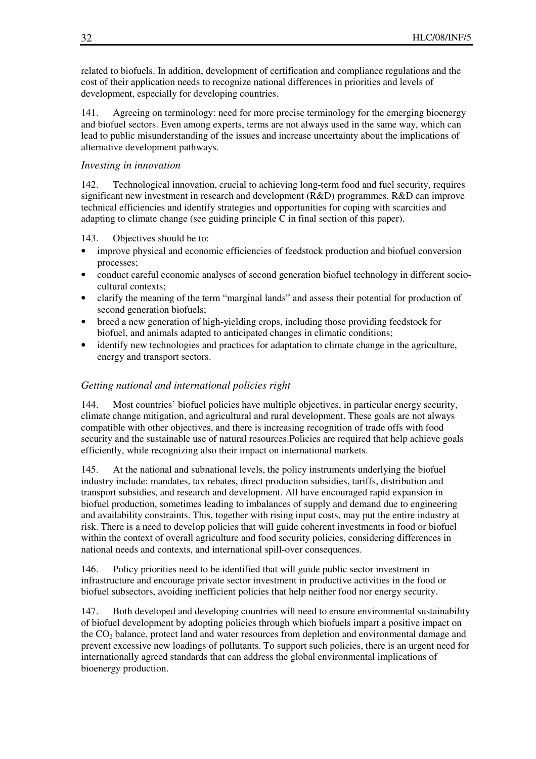related to biofuels. In addition, development of certification and compliance regulations and the cost of their application needs to recognize national differences in priorities and levels of development, especially for developing countries.

141. Agreeing on terminology: need for more precise terminology for the emerging bioenergy and biofuel sectors. Even among experts, terms are not always used in the same way, which can lead to public misunderstanding of the issues and increase uncertainty about the implications of alternative development pathways.

#### *Investing in innovation*

142. Technological innovation, crucial to achieving long-term food and fuel security, requires significant new investment in research and development (R&D) programmes. R&D can improve technical efficiencies and identify strategies and opportunities for coping with scarcities and adapting to climate change (see guiding principle C in final section of this paper).

#### 143. Objectives should be to:

- improve physical and economic efficiencies of feedstock production and biofuel conversion processes;
- conduct careful economic analyses of second generation biofuel technology in different sociocultural contexts;
- clarify the meaning of the term "marginal lands" and assess their potential for production of second generation biofuels;
- breed a new generation of high-yielding crops, including those providing feedstock for biofuel, and animals adapted to anticipated changes in climatic conditions;
- identify new technologies and practices for adaptation to climate change in the agriculture, energy and transport sectors.

#### *Getting national and international policies right*

144. Most countries' biofuel policies have multiple objectives, in particular energy security, climate change mitigation, and agricultural and rural development. These goals are not always compatible with other objectives, and there is increasing recognition of trade offs with food security and the sustainable use of natural resources.Policies are required that help achieve goals efficiently, while recognizing also their impact on international markets.

145. At the national and subnational levels, the policy instruments underlying the biofuel industry include: mandates, tax rebates, direct production subsidies, tariffs, distribution and transport subsidies, and research and development. All have encouraged rapid expansion in biofuel production, sometimes leading to imbalances of supply and demand due to engineering and availability constraints. This, together with rising input costs, may put the entire industry at risk. There is a need to develop policies that will guide coherent investments in food or biofuel within the context of overall agriculture and food security policies, considering differences in national needs and contexts, and international spill-over consequences.

146. Policy priorities need to be identified that will guide public sector investment in infrastructure and encourage private sector investment in productive activities in the food or biofuel subsectors, avoiding inefficient policies that help neither food nor energy security.

147. Both developed and developing countries will need to ensure environmental sustainability of biofuel development by adopting policies through which biofuels impart a positive impact on the CO<sub>2</sub> balance, protect land and water resources from depletion and environmental damage and prevent excessive new loadings of pollutants. To support such policies, there is an urgent need for internationally agreed standards that can address the global environmental implications of bioenergy production.